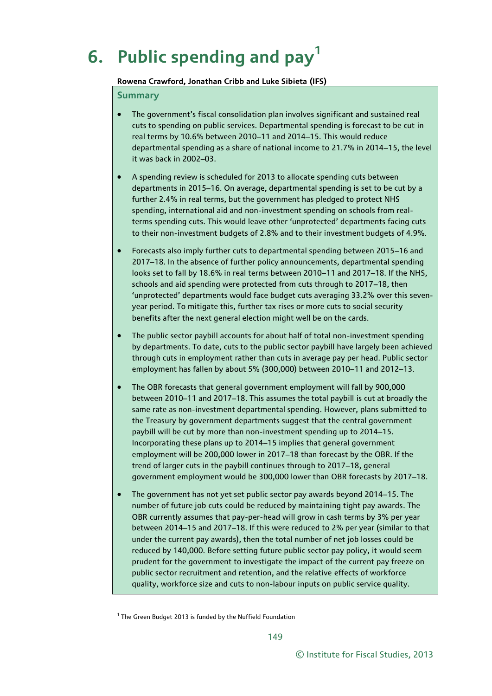# **6. Public spending and pay<sup>1</sup>**

#### **Rowena Crawford, Jonathan Cribb and Luke Sibieta (IFS)**

#### **Summary**

- The government's fiscal consolidation plan involves significant and sustained real cuts to spending on public services. Departmental spending is forecast to be cut in real terms by 10.6% between 2010–11 and 2014–15. This would reduce departmental spending as a share of national income to 21.7% in 2014–15, the level it was back in 2002–03.
- A spending review is scheduled for 2013 to allocate spending cuts between departments in 2015–16. On average, departmental spending is set to be cut by a further 2.4% in real terms, but the government has pledged to protect NHS spending, international aid and non-investment spending on schools from realterms spending cuts. This would leave other 'unprotected' departments facing cuts to their non-investment budgets of 2.8% and to their investment budgets of 4.9%.
- Forecasts also imply further cuts to departmental spending between 2015–16 and 2017–18. In the absence of further policy announcements, departmental spending looks set to fall by 18.6% in real terms between 2010–11 and 2017–18. If the NHS, schools and aid spending were protected from cuts through to 2017–18, then 'unprotected' departments would face budget cuts averaging 33.2% over this sevenyear period. To mitigate this, further tax rises or more cuts to social security benefits after the next general election might well be on the cards.
- The public sector paybill accounts for about half of total non-investment spending by departments. To date, cuts to the public sector paybill have largely been achieved through cuts in employment rather than cuts in average pay per head. Public sector employment has fallen by about 5% (300,000) between 2010–11 and 2012–13.
- The OBR forecasts that general government employment will fall by 900,000 between 2010–11 and 2017–18. This assumes the total paybill is cut at broadly the same rate as non-investment departmental spending. However, plans submitted to the Treasury by government departments suggest that the central government paybill will be cut by more than non-investment spending up to 2014–15. Incorporating these plans up to 2014–15 implies that general government employment will be 200,000 lower in 2017–18 than forecast by the OBR. If the trend of larger cuts in the paybill continues through to 2017–18, general government employment would be 300,000 lower than OBR forecasts by 2017–18.
- The government has not yet set public sector pay awards beyond 2014–15. The number of future job cuts could be reduced by maintaining tight pay awards. The OBR currently assumes that pay-per-head will grow in cash terms by 3% per year between 2014–15 and 2017–18. If this were reduced to 2% per year (similar to that under the current pay awards), then the total number of net job losses could be reduced by 140,000. Before setting future public sector pay policy, it would seem prudent for the government to investigate the impact of the current pay freeze on public sector recruitment and retention, and the relative effects of workforce quality, workforce size and cuts to non-labour inputs on public service quality.

1

<sup>&</sup>lt;sup>1</sup> The Green Budget 2013 is funded by the Nuffield Foundation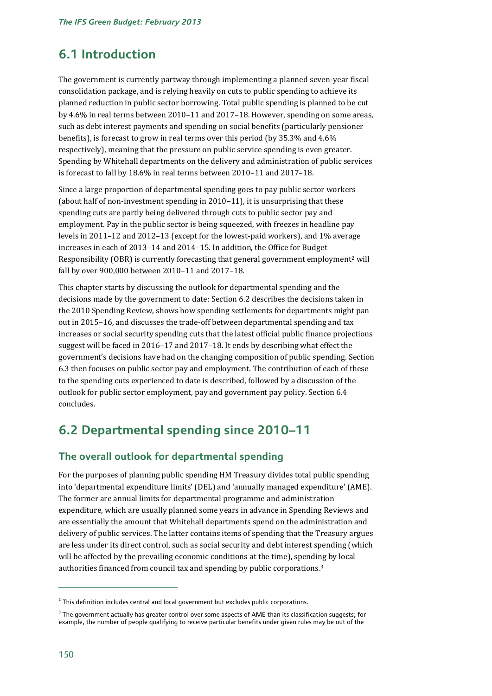# **6.1 Introduction**

The government is currently partway through implementing a planned seven-year fiscal consolidation package, and is relying heavily on cuts to public spending to achieve its planned reduction in public sector borrowing. Total public spending is planned to be cut by 4.6% in real terms between 2010–11 and 2017–18. However, spending on some areas, such as debt interest payments and spending on social benefits (particularly pensioner benefits), is forecast to grow in real terms over this period (by 35.3% and 4.6% respectively), meaning that the pressure on public service spending is even greater. Spending by Whitehall departments on the delivery and administration of public services is forecast to fall by 18.6% in real terms between 2010–11 and 2017–18.

Since a large proportion of departmental spending goes to pay public sector workers (about half of non-investment spending in 2010–11), it is unsurprising that these spending cuts are partly being delivered through cuts to public sector pay and employment. Pay in the public sector is being squeezed, with freezes in headline pay levels in 2011–12 and 2012–13 (except for the lowest-paid workers), and 1% average increases in each of 2013–14 and 2014–15. In addition, the Office for Budget Responsibility (OBR) is currently forecasting that general government employment<sup>2</sup> will fall by over 900,000 between 2010–11 and 2017–18.

This chapter starts by discussing the outlook for departmental spending and the decisions made by the government to date: Section 6.2 describes the decisions taken in the 2010 Spending Review, shows how spending settlements for departments might pan out in 2015–16, and discusses the trade-off between departmental spending and tax increases or social security spending cuts that the latest official public finance projections suggest will be faced in 2016–17 and 2017–18. It ends by describing what effect the government's decisions have had on the changing composition of public spending. Section 6.3 then focuses on public sector pay and employment. The contribution of each of these to the spending cuts experienced to date is described, followed by a discussion of the outlook for public sector employment, pay and government pay policy. Section 6.4 concludes.

# **6.2 Departmental spending since 2010–11**

# **The overall outlook for departmental spending**

For the purposes of planning public spending HM Treasury divides total public spending into 'departmental expenditure limits' (DEL) and 'annually managed expenditure' (AME). The former are annual limits for departmental programme and administration expenditure, which are usually planned some years in advance in Spending Reviews and are essentially the amount that Whitehall departments spend on the administration and delivery of public services. The latter contains items of spending that the Treasury argues are less under its direct control, such as social security and debt interest spending (which will be affected by the prevailing economic conditions at the time), spending by local authorities financed from council tax and spending by public corporations. 3

 $^2$  This definition includes central and local government but excludes public corporations.

 $^3$  The government actually has greater control over some aspects of AME than its classification suggests; for example, the number of people qualifying to receive particular benefits under given rules may be out of the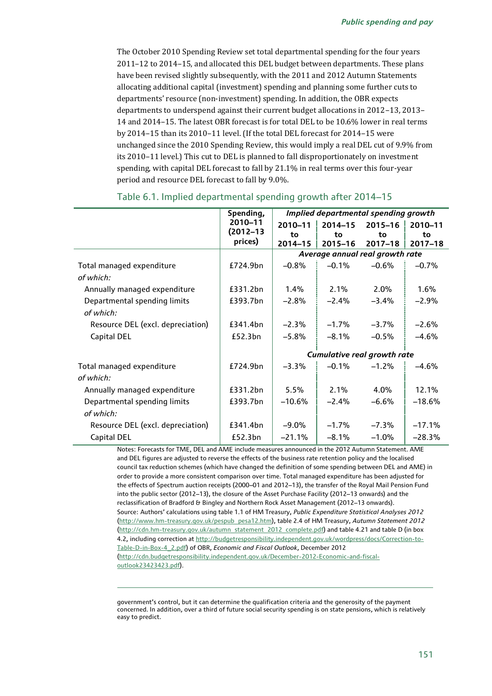The October 2010 Spending Review set total departmental spending for the four years 2011–12 to 2014–15, and allocated this DEL budget between departments. These plans have been revised slightly subsequently, with the 2011 and 2012 Autumn Statements allocating additional capital (investment) spending and planning some further cuts to departments' resource (non-investment) spending. In addition, the OBR expects departments to underspend against their current budget allocations in 2012–13, 2013– 14 and 2014–15. The latest OBR forecast is for total DEL to be 10.6% lower in real terms by 2014–15 than its 2010–11 level. (If the total DEL forecast for 2014–15 were unchanged since the 2010 Spending Review, this would imply a real DEL cut of 9.9% from its 2010–11 level.) This cut to DEL is planned to fall disproportionately on investment spending, with capital DEL forecast to fall by 21.1% in real terms over this four-year period and resource DEL forecast to fall by 9.0%.

|                                   | Spending,     | Implied departmental spending growth |             |             |             |
|-----------------------------------|---------------|--------------------------------------|-------------|-------------|-------------|
|                                   | 2010-11       | 2010-11                              | $2014 - 15$ | $2015 - 16$ | 2010-11     |
|                                   | $(2012 - 13)$ | to                                   | to          | to          | to          |
|                                   | prices)       | 2014-15                              | $2015 - 16$ | $2017 - 18$ | $2017 - 18$ |
|                                   |               | Average annual real growth rate      |             |             |             |
| Total managed expenditure         | £724.9bn      | $-0.8%$                              | $-0.1%$     | $-0.6%$     | $-0.7%$     |
| of which:                         |               |                                      |             |             |             |
| Annually managed expenditure      | £331.2bn      | $1.4\%$                              | 2.1%        | $2.0\%$     | 1.6%        |
| Departmental spending limits      | £393.7bn      | $-2.8%$                              | $-2.4%$     | $-3.4%$     | $-2.9%$     |
| of which:                         |               |                                      |             |             |             |
| Resource DEL (excl. depreciation) | £341.4bn      | $-2.3%$                              | $-1.7%$     | $-3.7%$     | $-2.6%$     |
| Capital DEL                       | £52.3bn       | $-5.8%$                              | $-8.1%$     | $-0.5%$     | $-4.6%$     |
|                                   |               | Cumulative real growth rate          |             |             |             |
| Total managed expenditure         | £724.9bn      | $-3.3%$                              | $-0.1%$     | $-1.2%$     | $-4.6%$     |
| of which:                         |               |                                      |             |             |             |
| Annually managed expenditure      | £331.2bn      | 5.5%                                 | 2.1%        | 4.0%        | 12.1%       |
| Departmental spending limits      | £393.7bn      | $-10.6%$                             | $-2.4%$     | $-6.6%$     | $-18.6%$    |
| of which:                         |               |                                      |             |             |             |
| Resource DEL (excl. depreciation) | £341.4bn      | $-9.0\%$                             | $-1.7%$     | $-7.3%$     | $-17.1%$    |
| Capital DEL                       | £52.3bn       | $-21.1%$                             | $-8.1%$     | $-1.0%$     | $-28.3%$    |

#### Table 6.1. Implied departmental spending growth after 2014–15

Notes: Forecasts for TME, DEL and AME include measures announced in the 2012 Autumn Statement. AME and DEL figures are adjusted to reverse the effects of the business rate retention policy and the localised council tax reduction schemes (which have changed the definition of some spending between DEL and AME) in order to provide a more consistent comparison over time. Total managed expenditure has been adjusted for the effects of Spectrum auction receipts (2000–01 and 2012–13), the transfer of the Royal Mail Pension Fund into the public sector (2012–13), the closure of the Asset Purchase Facility (2012–13 onwards) and the reclassification of Bradford & Bingley and Northern Rock Asset Management (2012–13 onwards). Source: Authors' calculations using table 1.1 of HM Treasury, *Public Expenditure Statistical Analyses 2012* [\(http://www.hm-treasury.gov.uk/pespub\\_pesa12.htm\)](http://www.hm-treasury.gov.uk/pespub_pesa12.htm), table 2.4 of HM Treasury, *Autumn Statement 2012* [\(http://cdn.hm-treasury.gov.uk/autumn\\_statement\\_2012\\_complete.pdf\)](http://cdn.hm-treasury.gov.uk/autumn_statement_2012_complete.pdf) and table 4.21 and table D (in box 4.2, including correction a[t http://budgetresponsibility.independent.gov.uk/wordpress/docs/Correction-to-](http://budgetresponsibility.independent.gov.uk/wordpress/docs/Correction-to-Table-D-in-Box-4_2.pdf)[Table-D-in-Box-4\\_2.pdf\)](http://budgetresponsibility.independent.gov.uk/wordpress/docs/Correction-to-Table-D-in-Box-4_2.pdf) of OBR, *Economic and Fiscal Outlook*, December 2012 [\(http://cdn.budgetresponsibility.independent.gov.uk/December-2012-Economic-and-fiscal](http://cdn.budgetresponsibility.independent.gov.uk/December-2012-Economic-and-fiscal-outlook23423423.pdf)[outlook23423423.pdf\)](http://cdn.budgetresponsibility.independent.gov.uk/December-2012-Economic-and-fiscal-outlook23423423.pdf).

government's control, but it can determine the qualification criteria and the generosity of the payment concerned. In addition, over a third of future social security spending is on state pensions, which is relatively easy to predict.

1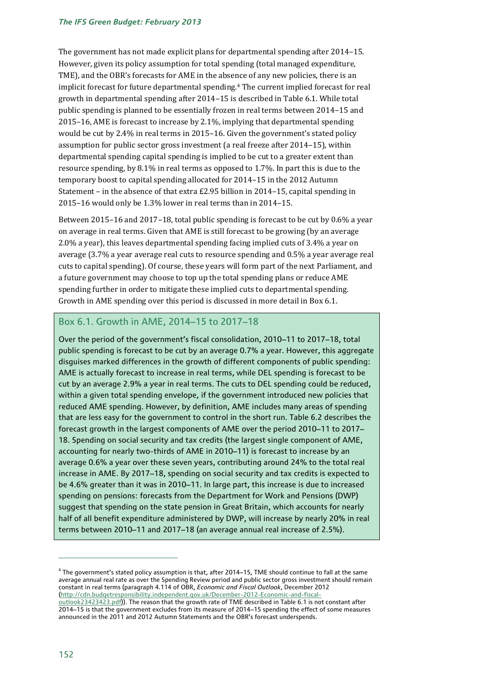The government has not made explicit plans for departmental spending after 2014–15. However, given its policy assumption for total spending (total managed expenditure, TME), and the OBR's forecasts for AME in the absence of any new policies, there is an implicit forecast for future departmental spending.<sup>4</sup> The current implied forecast for real growth in departmental spending after 2014–15 is described in Table 6.1. While total public spending is planned to be essentially frozen in real terms between 2014–15 and 2015–16, AME is forecast to increase by 2.1%, implying that departmental spending would be cut by 2.4% in real terms in 2015–16. Given the government's stated policy assumption for public sector gross investment (a real freeze after 2014–15), within departmental spending capital spending is implied to be cut to a greater extent than resource spending, by 8.1% in real terms as opposed to 1.7%. In part this is due to the temporary boost to capital spending allocated for 2014–15 in the 2012 Autumn Statement – in the absence of that extra £2.95 billion in 2014–15, capital spending in 2015–16 would only be 1.3% lower in real terms than in 2014–15.

Between 2015–16 and 2017–18, total public spending is forecast to be cut by 0.6% a year on average in real terms. Given that AME is still forecast to be growing (by an average 2.0% a year), this leaves departmental spending facing implied cuts of 3.4% a year on average (3.7% a year average real cuts to resource spending and 0.5% a year average real cuts to capital spending). Of course, these years will form part of the next Parliament, and a future government may choose to top up the total spending plans or reduce AME spending further in order to mitigate these implied cuts to departmental spending. Growth in AME spending over this period is discussed in more detail in Box 6.1.

### Box 6.1. Growth in AME, 2014–15 to 2017–18

Over the period of the government's fiscal consolidation, 2010–11 to 2017–18, total public spending is forecast to be cut by an average 0.7% a year. However, this aggregate disguises marked differences in the growth of different components of public spending: AME is actually forecast to increase in real terms, while DEL spending is forecast to be cut by an average 2.9% a year in real terms. The cuts to DEL spending could be reduced, within a given total spending envelope, if the government introduced new policies that reduced AME spending. However, by definition, AME includes many areas of spending that are less easy for the government to control in the short run. Table 6.2 describes the forecast growth in the largest components of AME over the period 2010–11 to 2017– 18. Spending on social security and tax credits (the largest single component of AME, accounting for nearly two-thirds of AME in 2010–11) is forecast to increase by an average 0.6% a year over these seven years, contributing around 24% to the total real increase in AME. By 2017–18, spending on social security and tax credits is expected to be 4.6% greater than it was in 2010–11. In large part, this increase is due to increased spending on pensions: forecasts from the Department for Work and Pensions (DWP) suggest that spending on the state pension in Great Britain, which accounts for nearly half of all benefit expenditure administered by DWP, will increase by nearly 20% in real terms between 2010–11 and 2017–18 (an average annual real increase of 2.5%).

 $^4$  The government's stated policy assumption is that, after 2014–15, TME should continue to fall at the same average annual real rate as over the Spending Review period and public sector gross investment should remain constant in real terms (paragraph 4.114 of OBR, *Economic and Fiscal Outlook*, December 2012 [\(http://cdn.budgetresponsibility.independent.gov.uk/December-2012-Economic-and-fiscal](http://cdn.budgetresponsibility.independent.gov.uk/December-2012-Economic-and-fiscal-outlook23423423.pdf)[outlook23423423.pdf\)](http://cdn.budgetresponsibility.independent.gov.uk/December-2012-Economic-and-fiscal-outlook23423423.pdf)). The reason that the growth rate of TME described in Table 6.1 is not constant after 2014–15 is that the government excludes from its measure of 2014–15 spending the effect of some measures

announced in the 2011 and 2012 Autumn Statements and the OBR's forecast underspends.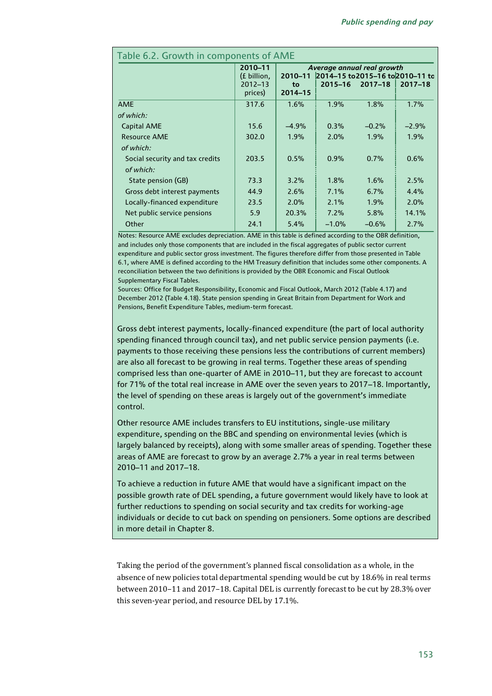| Table 6.2. Growth in components of AME       |                                                  |                                                                                                                                     |         |         |         |  |  |
|----------------------------------------------|--------------------------------------------------|-------------------------------------------------------------------------------------------------------------------------------------|---------|---------|---------|--|--|
|                                              | 2010-11<br>(£ billion,<br>$2012 - 13$<br>prices) | Average annual real growth<br>2014-15 to 2015-16 to 2010-11 to<br>2010-11<br>$2017 - 18$<br>$2015 - 16$<br>2017-18<br>to<br>2014-15 |         |         |         |  |  |
| <b>AME</b>                                   | 317.6                                            | 1.6%                                                                                                                                | 1.9%    | 1.8%    | 1.7%    |  |  |
| of which:                                    |                                                  |                                                                                                                                     |         |         |         |  |  |
| <b>Capital AME</b>                           | 15.6                                             | $-4.9%$                                                                                                                             | 0.3%    | $-0.2%$ | $-2.9%$ |  |  |
| <b>Resource AME</b>                          | 302.0                                            | 1.9%                                                                                                                                | 2.0%    | 1.9%    | 1.9%    |  |  |
| of which:                                    |                                                  |                                                                                                                                     |         |         |         |  |  |
| Social security and tax credits<br>of which: | 203.5                                            | 0.5%                                                                                                                                | 0.9%    | 0.7%    | 0.6%    |  |  |
| State pension (GB)                           | 73.3                                             | 3.2%                                                                                                                                | 1.8%    | 1.6%    | 2.5%    |  |  |
| Gross debt interest payments                 | 44.9                                             | 2.6%                                                                                                                                | 7.1%    | 6.7%    | 4.4%    |  |  |
| Locally-financed expenditure                 | 23.5                                             | 2.0%                                                                                                                                | 2.1%    | 1.9%    | 2.0%    |  |  |
| Net public service pensions                  | 5.9                                              | 20.3%                                                                                                                               | 7.2%    | 5.8%    | 14.1%   |  |  |
| Other                                        | 24.1                                             | 5.4%                                                                                                                                | $-1.0%$ | $-0.6%$ | 2.7%    |  |  |

Notes: Resource AME excludes depreciation. AME in this table is defined according to the OBR definition, and includes only those components that are included in the fiscal aggregates of public sector current expenditure and public sector gross investment. The figures therefore differ from those presented in Table 6.1, where AME is defined according to the HM Treasury definition that includes some other components. A reconciliation between the two definitions is provided by the OBR Economic and Fiscal Outlook Supplementary Fiscal Tables.

Sources: Office for Budget Responsibility, Economic and Fiscal Outlook, March 2012 (Table 4.17) and December 2012 (Table 4.18). State pension spending in Great Britain from Department for Work and Pensions, Benefit Expenditure Tables, medium-term forecast.

Gross debt interest payments, locally-financed expenditure (the part of local authority spending financed through council tax), and net public service pension payments (i.e. payments to those receiving these pensions less the contributions of current members) are also all forecast to be growing in real terms. Together these areas of spending comprised less than one-quarter of AME in 2010–11, but they are forecast to account for 71% of the total real increase in AME over the seven years to 2017–18. Importantly, the level of spending on these areas is largely out of the government's immediate control.

Other resource AME includes transfers to EU institutions, single-use military expenditure, spending on the BBC and spending on environmental levies (which is largely balanced by receipts), along with some smaller areas of spending. Together these areas of AME are forecast to grow by an average 2.7% a year in real terms between 2010–11 and 2017–18.

To achieve a reduction in future AME that would have a significant impact on the possible growth rate of DEL spending, a future government would likely have to look at further reductions to spending on social security and tax credits for working-age individuals or decide to cut back on spending on pensioners. Some options are described in more detail in Chapter 8.

Taking the period of the government's planned fiscal consolidation as a whole, in the absence of new policies total departmental spending would be cut by 18.6% in real terms between 2010–11 and 2017–18. Capital DEL is currently forecast to be cut by 28.3% over this seven-year period, and resource DEL by 17.1%.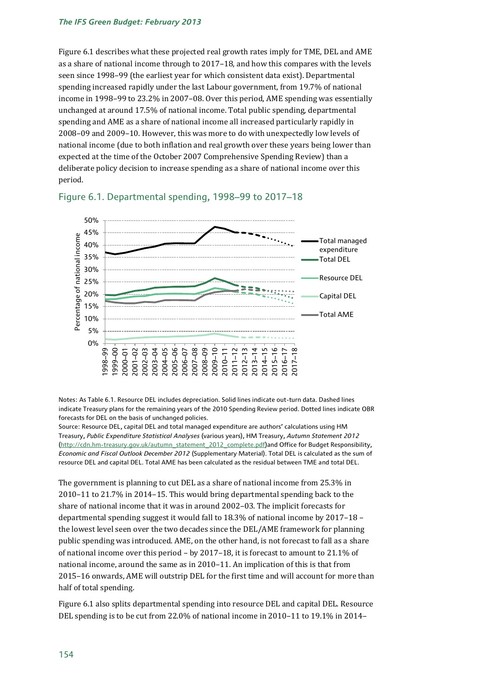#### *The IFS Green Budget: February 2013*

Figure 6.1 describes what these projected real growth rates imply for TME, DEL and AME as a share of national income through to 2017–18, and how this compares with the levels seen since 1998–99 (the earliest year for which consistent data exist). Departmental spending increased rapidly under the last Labour government, from 19.7% of national income in 1998–99 to 23.2% in 2007–08. Over this period, AME spending was essentially unchanged at around 17.5% of national income. Total public spending, departmental spending and AME as a share of national income all increased particularly rapidly in 2008–09 and 2009–10. However, this was more to do with unexpectedly low levels of national income (due to both inflation and real growth over these years being lower than expected at the time of the October 2007 Comprehensive Spending Review) than a deliberate policy decision to increase spending as a share of national income over this period.



### Figure 6.1. Departmental spending, 1998–99 to 2017–18

Notes: As Table 6.1. Resource DEL includes depreciation. Solid lines indicate out-turn data. Dashed lines indicate Treasury plans for the remaining years of the 2010 Spending Review period. Dotted lines indicate OBR forecasts for DEL on the basis of unchanged policies.

Source: Resource DEL, capital DEL and total managed expenditure are authors' calculations using HM Treasury, *Public Expenditure Statistical Analyses* (various years), HM Treasury, *Autumn Statement 2012* [\(http://cdn.hm-treasury.gov.uk/autumn\\_statement\\_2012\\_complete.pdf\)](http://cdn.hm-treasury.gov.uk/autumn_statement_2012_complete.pdf)and Office for Budget Responsibility, *Economic and Fiscal Outlook December 2012* (Supplementary Material). Total DEL is calculated as the sum of resource DEL and capital DEL. Total AME has been calculated as the residual between TME and total DEL.

The government is planning to cut DEL as a share of national income from 25.3% in 2010–11 to 21.7% in 2014–15. This would bring departmental spending back to the share of national income that it was in around 2002–03. The implicit forecasts for departmental spending suggest it would fall to 18.3% of national income by 2017–18 – the lowest level seen over the two decades since the DEL/AME framework for planning public spending was introduced. AME, on the other hand, is not forecast to fall as a share of national income over this period – by 2017–18, it is forecast to amount to 21.1% of national income, around the same as in 2010–11. An implication of this is that from 2015–16 onwards, AME will outstrip DEL for the first time and will account for more than half of total spending.

Figure 6.1 also splits departmental spending into resource DEL and capital DEL. Resource DEL spending is to be cut from 22.0% of national income in 2010–11 to 19.1% in 2014–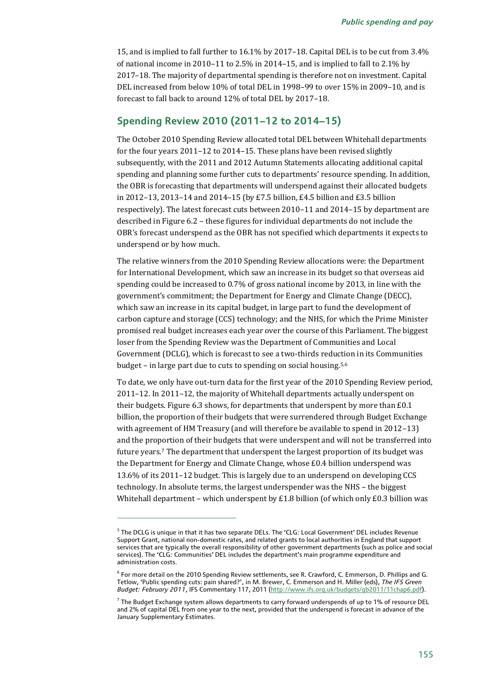15, and is implied to fall further to 16.1% by 2017–18. Capital DEL is to be cut from 3.4% of national income in 2010–11 to 2.5% in 2014–15, and is implied to fall to 2.1% by 2017–18. The majority of departmental spending is therefore not on investment. Capital DEL increased from below 10% of total DEL in 1998–99 to over 15% in 2009–10, and is forecast to fall back to around 12% of total DEL by 2017–18.

### **Spending Review 2010 (2011–12 to 2014–15)**

The October 2010 Spending Review allocated total DEL between Whitehall departments for the four years 2011–12 to 2014–15. These plans have been revised slightly subsequently, with the 2011 and 2012 Autumn Statements allocating additional capital spending and planning some further cuts to departments' resource spending. In addition, the OBR is forecasting that departments will underspend against their allocated budgets in 2012–13, 2013–14 and 2014–15 (by £7.5 billion, £4.5 billion and £3.5 billion respectively). The latest forecast cuts between 2010–11 and 2014–15 by department are described in Figure 6.2 – these figures for individual departments do not include the OBR's forecast underspend as the OBR has not specified which departments it expects to underspend or by how much.

The relative winners from the 2010 Spending Review allocations were: the Department for International Development, which saw an increase in its budget so that overseas aid spending could be increased to 0.7% of gross national income by 2013, in line with the government's commitment; the Department for Energy and Climate Change (DECC), which saw an increase in its capital budget, in large part to fund the development of carbon capture and storage (CCS) technology; and the NHS, for which the Prime Minister promised real budget increases each year over the course of this Parliament. The biggest loser from the Spending Review was the Department of Communities and Local Government (DCLG), which is forecast to see a two-thirds reduction in its Communities budget – in large part due to cuts to spending on social housing.5,6

To date, we only have out-turn data for the first year of the 2010 Spending Review period, 2011–12. In 2011–12, the majority of Whitehall departments actually underspent on their budgets. Figure 6.3 shows, for departments that underspent by more than £0.1 billion, the proportion of their budgets that were surrendered through Budget Exchange with agreement of HM Treasury (and will therefore be available to spend in 2012–13) and the proportion of their budgets that were underspent and will not be transferred into future years.<sup>7</sup> The department that underspent the largest proportion of its budget was the Department for Energy and Climate Change, whose £0.4 billion underspend was 13.6% of its 2011–12 budget. This is largely due to an underspend on developing CCS technology. In absolute terms, the largest underspender was the NHS – the biggest Whitehall department – which underspent by £1.8 billion (of which only  $E0.3$  billion was

1

 $^5$  The DCLG is unique in that it has two separate DELs. The 'CLG: Local Government' DEL includes Revenue Support Grant, national non-domestic rates, and related grants to local authorities in England that support services that are typically the overall responsibility of other government departments (such as police and social services). The 'CLG: Communities' DEL includes the department's main programme expenditure and administration costs.

<sup>6</sup> For more detail on the 2010 Spending Review settlements, see R. Crawford, C. Emmerson, D. Phillips and G. Tetlow, 'Public spending cuts: pain shared?', in M. Brewer, C. Emmerson and H. Miller (eds), *The IFS Green Budget: February 2011*, IFS Commentary 117, 2011 [\(http://www.ifs.org.uk/budgets/gb2011/11chap6.pdf\)](http://www.ifs.org.uk/budgets/gb2011/11chap6.pdf).

 $^7$  The Budget Exchange system allows departments to carry forward underspends of up to 1% of resource DEL and 2% of capital DEL from one year to the next, provided that the underspend is forecast in advance of the January Supplementary Estimates.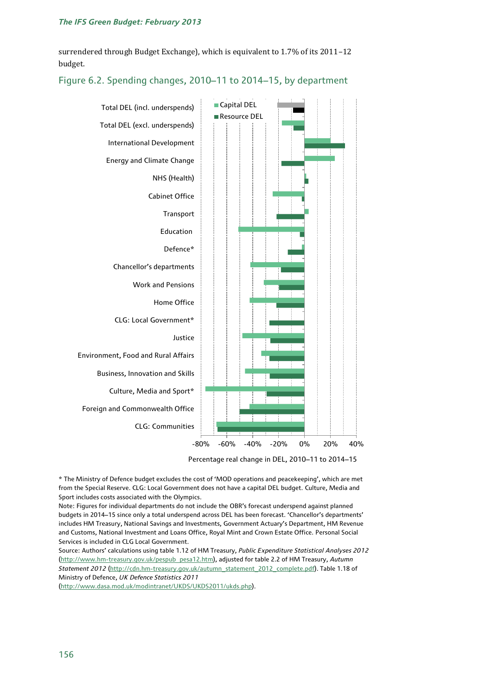surrendered through Budget Exchange), which is equivalent to 1.7% of its 2011–12 budget.

# -80% -60% -40% -20% 0% 20% 40% CLG: Communities Foreign and Commonwealth Office Culture, Media and Sport\* Business, Innovation and Skills Environment, Food and Rural Affairs Justice CLG: Local Government\* Home Office Work and Pensions Chancellor's departments Defence\* Education **Transport** Cabinet Office NHS (Health) Energy and Climate Change International Development Total DEL (excl. underspends) Total DEL (incl. underspends) ■ Capital DEL Resource DEL

#### Figure 6.2. Spending changes, 2010–11 to 2014–15, by department

Percentage real change in DEL, 2010–11 to 2014–15

\* The Ministry of Defence budget excludes the cost of 'MOD operations and peacekeeping', which are met from the Special Reserve. CLG: Local Government does not have a capital DEL budget. Culture, Media and Sport includes costs associated with the Olympics.

Note: Figures for individual departments do not include the OBR's forecast underspend against planned budgets in 2014–15 since only a total underspend across DEL has been forecast. 'Chancellor's departments' includes HM Treasury, National Savings and Investments, Government Actuary's Department, HM Revenue and Customs, National Investment and Loans Office, Royal Mint and Crown Estate Office. Personal Social Services is included in CLG Local Government.

Source: Authors' calculations using table 1.12 of HM Treasury, *Public Expenditure Statistical Analyses 2012*  [\(http://www.hm-treasury.gov.uk/pespub\\_pesa12.htm\)](http://www.hm-treasury.gov.uk/pespub_pesa12.htm), adjusted for table 2.2 of HM Treasury, *Autumn Statement 2012* [\(http://cdn.hm-treasury.gov.uk/autumn\\_statement\\_2012\\_complete.pdf\)](http://cdn.hm-treasury.gov.uk/autumn_statement_2012_complete.pdf). Table 1.18 of Ministry of Defence, *UK Defence Statistics 2011*

[\(http://www.dasa.mod.uk/modintranet/UKDS/UKDS2011/ukds.php\)](http://www.dasa.mod.uk/modintranet/UKDS/UKDS2011/ukds.php).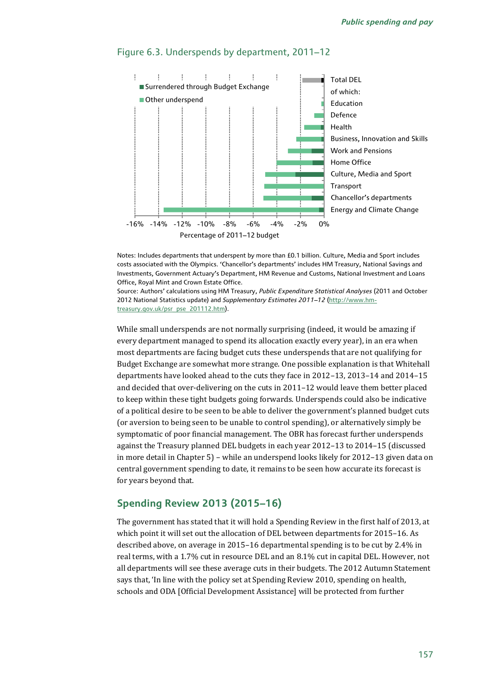

#### Figure 6.3. Underspends by department, 2011–12

Notes: Includes departments that underspent by more than £0.1 billion. Culture, Media and Sport includes costs associated with the Olympics. 'Chancellor's departments' includes HM Treasury, National Savings and Investments, Government Actuary's Department, HM Revenue and Customs, National Investment and Loans Office, Royal Mint and Crown Estate Office.

Source: Authors' calculations using HM Treasury, *Public Expenditure Statistical Analyses* (2011 and October 2012 National Statistics update) and *Supplementary Estimates 2011–12* [\(http://www.hm](http://www.hm-treasury.gov.uk/psr_pse_201112.htm)[treasury.gov.uk/psr\\_pse\\_201112.htm\).](http://www.hm-treasury.gov.uk/psr_pse_201112.htm)

While small underspends are not normally surprising (indeed, it would be amazing if every department managed to spend its allocation exactly every year), in an era when most departments are facing budget cuts these underspends that are not qualifying for Budget Exchange are somewhat more strange. One possible explanation is that Whitehall departments have looked ahead to the cuts they face in 2012–13, 2013–14 and 2014–15 and decided that over-delivering on the cuts in 2011–12 would leave them better placed to keep within these tight budgets going forwards. Underspends could also be indicative of a political desire to be seen to be able to deliver the government's planned budget cuts (or aversion to being seen to be unable to control spending), or alternatively simply be symptomatic of poor financial management. The OBR has forecast further underspends against the Treasury planned DEL budgets in each year 2012–13 to 2014–15 (discussed in more detail in Chapter 5) – while an underspend looks likely for 2012–13 given data on central government spending to date, it remains to be seen how accurate its forecast is for years beyond that.

# **Spending Review 2013 (2015–16)**

The government has stated that it will hold a Spending Review in the first half of 2013, at which point it will set out the allocation of DEL between departments for 2015–16. As described above, on average in 2015–16 departmental spending is to be cut by 2.4% in real terms, with a 1.7% cut in resource DEL and an 8.1% cut in capital DEL. However, not all departments will see these average cuts in their budgets. The 2012 Autumn Statement says that, 'In line with the policy set at Spending Review 2010, spending on health, schools and ODA [Official Development Assistance] will be protected from further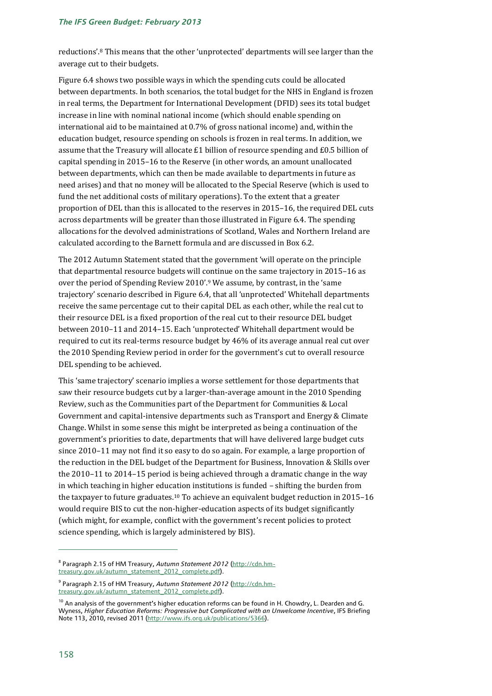reductions'.<sup>8</sup> This means that the other 'unprotected' departments will see larger than the average cut to their budgets.

Figure 6.4 shows two possible ways in which the spending cuts could be allocated between departments. In both scenarios, the total budget for the NHS in England is frozen in real terms, the Department for International Development (DFID) sees its total budget increase in line with nominal national income (which should enable spending on international aid to be maintained at 0.7% of gross national income) and, within the education budget, resource spending on schools is frozen in real terms. In addition, we assume that the Treasury will allocate £1 billion of resource spending and £0.5 billion of capital spending in 2015–16 to the Reserve (in other words, an amount unallocated between departments, which can then be made available to departments in future as need arises) and that no money will be allocated to the Special Reserve (which is used to fund the net additional costs of military operations). To the extent that a greater proportion of DEL than this is allocated to the reserves in 2015–16, the required DEL cuts across departments will be greater than those illustrated in Figure 6.4. The spending allocations for the devolved administrations of Scotland, Wales and Northern Ireland are calculated according to the Barnett formula and are discussed in Box 6.2.

The 2012 Autumn Statement stated that the government 'will operate on the principle that departmental resource budgets will continue on the same trajectory in 2015–16 as over the period of Spending Review 2010'.<sup>9</sup> We assume, by contrast, in the 'same trajectory' scenario described in Figure 6.4, that all 'unprotected' Whitehall departments receive the same percentage cut to their capital DEL as each other, while the real cut to their resource DEL is a fixed proportion of the real cut to their resource DEL budget between 2010–11 and 2014–15. Each 'unprotected' Whitehall department would be required to cut its real-terms resource budget by 46% of its average annual real cut over the 2010 Spending Review period in order for the government's cut to overall resource DEL spending to be achieved.

This 'same trajectory' scenario implies a worse settlement for those departments that saw their resource budgets cut by a larger-than-average amount in the 2010 Spending Review, such as the Communities part of the Department for Communities & Local Government and capital-intensive departments such as Transport and Energy & Climate Change. Whilst in some sense this might be interpreted as being a continuation of the government's priorities to date, departments that will have delivered large budget cuts since 2010–11 may not find it so easy to do so again. For example, a large proportion of the reduction in the DEL budget of the Department for Business, Innovation & Skills over the 2010–11 to 2014–15 period is being achieved through a dramatic change in the way in which teaching in higher education institutions is funded – shifting the burden from the taxpayer to future graduates.<sup>10</sup> To achieve an equivalent budget reduction in 2015-16 would require BIS to cut the non-higher-education aspects of its budget significantly (which might, for example, conflict with the government's recent policies to protect science spending, which is largely administered by BIS).

 $\overline{a}$ 

<sup>&</sup>lt;sup>8</sup> Paragraph 2.15 of HM Treasury*, Autumn Statement 2012 [\(http://cdn.hm](http://cdn.hm-treasury.gov.uk/autumn_statement_2012_complete.pdf)*[treasury.gov.uk/autumn\\_statement\\_2012\\_complete.pdf\)](http://cdn.hm-treasury.gov.uk/autumn_statement_2012_complete.pdf).

<sup>&</sup>lt;sup>9</sup> Paragraph 2.15 of HM Treasury, *Autumn Statement 2012 [\(http://cdn.hm](http://cdn.hm-treasury.gov.uk/autumn_statement_2012_complete.pdf)*[treasury.gov.uk/autumn\\_statement\\_2012\\_complete.pdf\)](http://cdn.hm-treasury.gov.uk/autumn_statement_2012_complete.pdf).

 $10$  An analysis of the government's higher education reforms can be found in H. Chowdry, L. Dearden and G. Wyness, *Higher Education Reforms: Progressive but Complicated with an Unwelcome Incentive*, IFS Briefing Note 113, 2010, revised 2011 [\(http://www.ifs.org.uk/publications/5366\)](http://www.ifs.org.uk/publications/5366).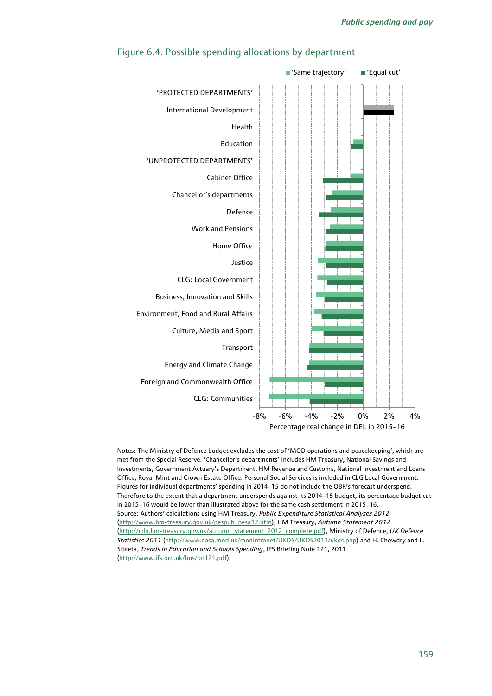

#### Figure 6.4. Possible spending allocations by department

Notes: The Ministry of Defence budget excludes the cost of 'MOD operations and peacekeeping', which are met from the Special Reserve. 'Chancellor's departments' includes HM Treasury, National Savings and Investments, Government Actuary's Department, HM Revenue and Customs, National Investment and Loans Office, Royal Mint and Crown Estate Office. Personal Social Services is included in CLG Local Government. Figures for individual departments' spending in 2014–15 do not include the OBR's forecast underspend. Therefore to the extent that a department underspends against its 2014–15 budget, its percentage budget cut in 2015–16 would be lower than illustrated above for the same cash settlement in 2015–16. Source: Authors' calculations using HM Treasury, *Public Expenditure Statistical Analyses 2012*  [\(http://www.hm-treasury.gov.uk/pespub\\_pesa12.htm\)](http://www.hm-treasury.gov.uk/pespub_pesa12.htm), HM Treasury, *Autumn Statement 2012* [\(http://cdn.hm-treasury.gov.uk/autumn\\_statement\\_2012\\_complete.pdf\)](http://cdn.hm-treasury.gov.uk/autumn_statement_2012_complete.pdf), Ministry of Defence, *UK Defence Statistics 2011* [\(http://www.dasa.mod.uk/modintranet/UKDS/UKDS2011/ukds.php\)](http://www.dasa.mod.uk/modintranet/UKDS/UKDS2011/ukds.php) and H. Chowdry and L. Sibieta, *Trends in Education and Schools Spending*, IFS Briefing Note 121, 2011 [\(http://www.ifs.org.uk/bns/bn121.pdf\)](http://www.ifs.org.uk/bns/bn121.pdf).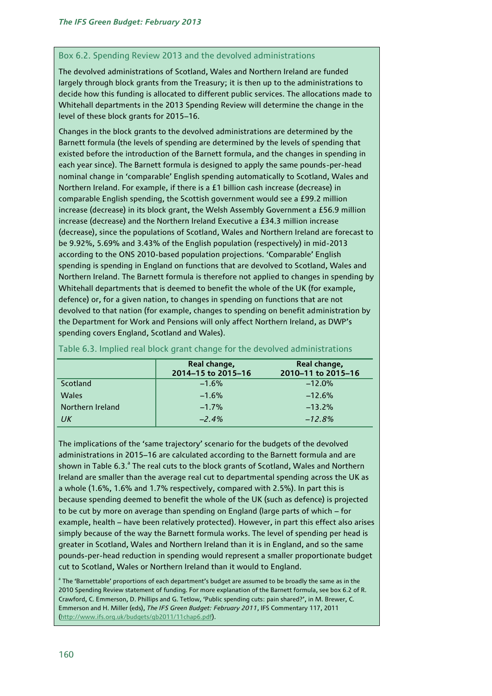#### Box 6.2. Spending Review 2013 and the devolved administrations

The devolved administrations of Scotland, Wales and Northern Ireland are funded largely through block grants from the Treasury; it is then up to the administrations to decide how this funding is allocated to different public services. The allocations made to Whitehall departments in the 2013 Spending Review will determine the change in the level of these block grants for 2015–16.

Changes in the block grants to the devolved administrations are determined by the Barnett formula (the levels of spending are determined by the levels of spending that existed before the introduction of the Barnett formula, and the changes in spending in each year since). The Barnett formula is designed to apply the same pounds-per-head nominal change in 'comparable' English spending automatically to Scotland, Wales and Northern Ireland. For example, if there is a £1 billion cash increase (decrease) in comparable English spending, the Scottish government would see a £99.2 million increase (decrease) in its block grant, the Welsh Assembly Government a £56.9 million increase (decrease) and the Northern Ireland Executive a £34.3 million increase (decrease), since the populations of Scotland, Wales and Northern Ireland are forecast to be 9.92%, 5.69% and 3.43% of the English population (respectively) in mid-2013 according to the ONS 2010-based population projections. 'Comparable' English spending is spending in England on functions that are devolved to Scotland, Wales and Northern Ireland. The Barnett formula is therefore not applied to changes in spending by Whitehall departments that is deemed to benefit the whole of the UK (for example, defence) or, for a given nation, to changes in spending on functions that are not devolved to that nation (for example, changes to spending on benefit administration by the Department for Work and Pensions will only affect Northern Ireland, as DWP's spending covers England, Scotland and Wales).

|                  | Real change,<br>2014-15 to 2015-16 | Real change,<br>2010-11 to 2015-16 |
|------------------|------------------------------------|------------------------------------|
| Scotland         | $-1.6%$                            | $-12.0%$                           |
| <b>Wales</b>     | $-1.6%$                            | $-12.6%$                           |
| Northern Ireland | $-1.7%$                            | $-13.2%$                           |
| UК               | $-2.4%$                            | $-12.8%$                           |

Table 6.3. Implied real block grant change for the devolved administrations

The implications of the 'same trajectory' scenario for the budgets of the devolved administrations in 2015–16 are calculated according to the Barnett formula and are shown in Table 6.3.<sup>a</sup> The real cuts to the block grants of Scotland, Wales and Northern Ireland are smaller than the average real cut to departmental spending across the UK as a whole (1.6%, 1.6% and 1.7% respectively, compared with 2.5%). In part this is because spending deemed to benefit the whole of the UK (such as defence) is projected to be cut by more on average than spending on England (large parts of which – for example, health – have been relatively protected). However, in part this effect also arises simply because of the way the Barnett formula works. The level of spending per head is greater in Scotland, Wales and Northern Ireland than it is in England, and so the same pounds-per-head reduction in spending would represent a smaller proportionate budget cut to Scotland, Wales or Northern Ireland than it would to England.

<sup>a</sup> The 'Barnettable' proportions of each department's budget are assumed to be broadly the same as in the 2010 Spending Review statement of funding. For more explanation of the Barnett formula, see box 6.2 of R. Crawford, C. Emmerson, D. Phillips and G. Tetlow, 'Public spending cuts: pain shared?', in M. Brewer, C. Emmerson and H. Miller (eds), *The IFS Green Budget: February 2011*, IFS Commentary 117, 2011 [\(http://www.ifs.org.uk/budgets/gb2011/11chap6.pdf\)](http://www.ifs.org.uk/budgets/gb2011/11chap6.pdf).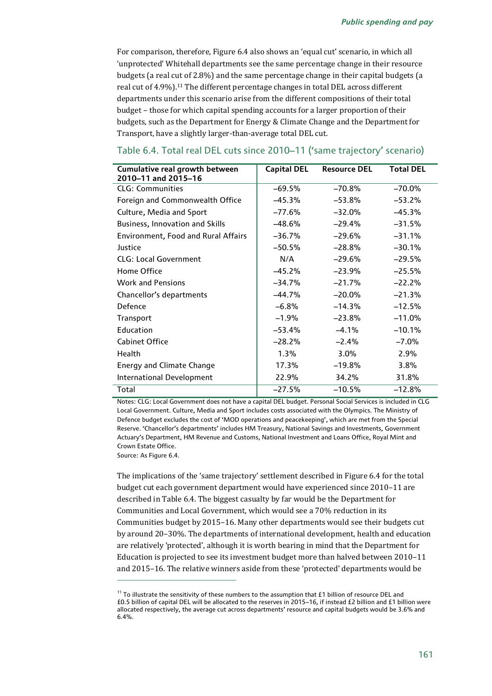For comparison, therefore, Figure 6.4 also shows an 'equal cut' scenario, in which all 'unprotected' Whitehall departments see the same percentage change in their resource budgets (a real cut of 2.8%) and the same percentage change in their capital budgets (a real cut of 4.9%).<sup>11</sup> The different percentage changes in total DEL across different departments under this scenario arise from the different compositions of their total budget – those for which capital spending accounts for a larger proportion of their budgets, such as the Department for Energy & Climate Change and the Department for Transport, have a slightly larger-than-average total DEL cut.

| Cumulative real growth between<br>2010-11 and 2015-16 | <b>Capital DEL</b> | <b>Resource DEL</b> | <b>Total DEL</b> |
|-------------------------------------------------------|--------------------|---------------------|------------------|
| <b>CLG: Communities</b>                               | $-69.5%$           | $-70.8%$            | $-70.0%$         |
| Foreign and Commonwealth Office                       | $-45.3%$           | $-53.8%$            | $-53.2%$         |
| Culture, Media and Sport                              | $-77.6%$           | $-32.0%$            | $-45.3%$         |
| Business, Innovation and Skills                       | $-48.6%$           | $-29.4%$            | $-31.5%$         |
| <b>Environment, Food and Rural Affairs</b>            | $-36.7%$           | $-29.6%$            | $-31.1%$         |
| Justice                                               | $-50.5%$           | $-28.8%$            | $-30.1%$         |
| <b>CLG: Local Government</b>                          | N/A                | $-29.6%$            | $-29.5%$         |
| Home Office                                           | $-45.2%$           | $-23.9%$            | $-25.5%$         |
| <b>Work and Pensions</b>                              | $-34.7%$           | $-21.7%$            | $-22.2%$         |
| Chancellor's departments                              | $-44.7%$           | $-20.0\%$           | $-21.3%$         |
| Defence                                               | $-6.8%$            | $-14.3%$            | $-12.5%$         |
| Transport                                             | $-1.9%$            | $-23.8%$            | $-11.0%$         |
| Education                                             | $-53.4%$           | $-4.1%$             | $-10.1%$         |
| <b>Cabinet Office</b>                                 | $-28.2%$           | $-2.4%$             | $-7.0\%$         |
| <b>Health</b>                                         | 1.3%               | 3.0%                | 2.9%             |
| <b>Energy and Climate Change</b>                      | 17.3%              | $-19.8%$            | 3.8%             |
| International Development                             | 22.9%              | 34.2%               | 31.8%            |
| Total                                                 | $-27.5%$           | $-10.5%$            | $-12.8%$         |

#### Table 6.4. Total real DEL cuts since 2010–11 ('same trajectory' scenario)

Notes: CLG: Local Government does not have a capital DEL budget. Personal Social Services is included in CLG Local Government. Culture, Media and Sport includes costs associated with the Olympics. The Ministry of Defence budget excludes the cost of 'MOD operations and peacekeeping', which are met from the Special Reserve. 'Chancellor's departments' includes HM Treasury, National Savings and Investments, Government Actuary's Department, HM Revenue and Customs, National Investment and Loans Office, Royal Mint and Crown Estate Office.

Source: As Figure 6.4.

1

The implications of the 'same trajectory' settlement described in Figure 6.4 for the total budget cut each government department would have experienced since 2010–11 are described in Table 6.4. The biggest casualty by far would be the Department for Communities and Local Government, which would see a 70% reduction in its Communities budget by 2015–16. Many other departments would see their budgets cut by around 20–30%. The departments of international development, health and education are relatively 'protected', although it is worth bearing in mind that the Department for Education is projected to see its investment budget more than halved between 2010–11 and 2015–16. The relative winners aside from these 'protected' departments would be

<sup>&</sup>lt;sup>11</sup> To illustrate the sensitivity of these numbers to the assumption that  $£1$  billion of resource DEL and £0.5 billion of capital DEL will be allocated to the reserves in 2015–16, if instead £2 billion and £1 billion were allocated respectively, the average cut across departments' resource and capital budgets would be 3.6% and 6.4%.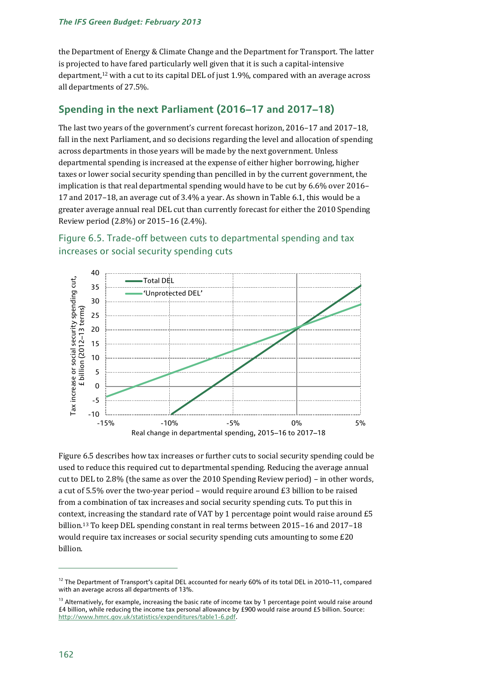#### *The IFS Green Budget: February 2013*

the Department of Energy & Climate Change and the Department for Transport. The latter is projected to have fared particularly well given that it is such a capital-intensive department,<sup>12</sup> with a cut to its capital DEL of just 1.9%, compared with an average across all departments of 27.5%.

# **Spending in the next Parliament (2016–17 and 2017–18)**

The last two years of the government's current forecast horizon, 2016–17 and 2017–18, fall in the next Parliament, and so decisions regarding the level and allocation of spending across departments in those years will be made by the next government. Unless departmental spending is increased at the expense of either higher borrowing, higher taxes or lower social security spending than pencilled in by the current government, the implication is that real departmental spending would have to be cut by 6.6% over 2016– 17 and 2017–18, an average cut of 3.4% a year. As shown in Table 6.1, this would be a greater average annual real DEL cut than currently forecast for either the 2010 Spending Review period (2.8%) or 2015–16 (2.4%).





Figure 6.5 describes how tax increases or further cuts to social security spending could be used to reduce this required cut to departmental spending. Reducing the average annual cut to DEL to 2.8% (the same as over the 2010 Spending Review period) – in other words, a cut of 5.5% over the two-year period – would require around £3 billion to be raised from a combination of tax increases and social security spending cuts. To put this in context, increasing the standard rate of VAT by 1 percentage point would raise around £5 billion.<sup>13</sup> To keep DEL spending constant in real terms between 2015–16 and 2017–18 would require tax increases or social security spending cuts amounting to some £20 billion.

<sup>&</sup>lt;sup>12</sup> The Department of Transport's capital DEL accounted for nearly 60% of its total DEL in 2010–11, compared with an average across all departments of 13%.

<sup>&</sup>lt;sup>13</sup> Alternatively, for example, increasing the basic rate of income tax by 1 percentage point would raise around £4 billion, while reducing the income tax personal allowance by £900 would raise around £5 billion. Source: [http://www.hmrc.gov.uk/statistics/expenditures/table1-6.pdf.](http://www.hmrc.gov.uk/statistics/expenditures/table1-6.pdf)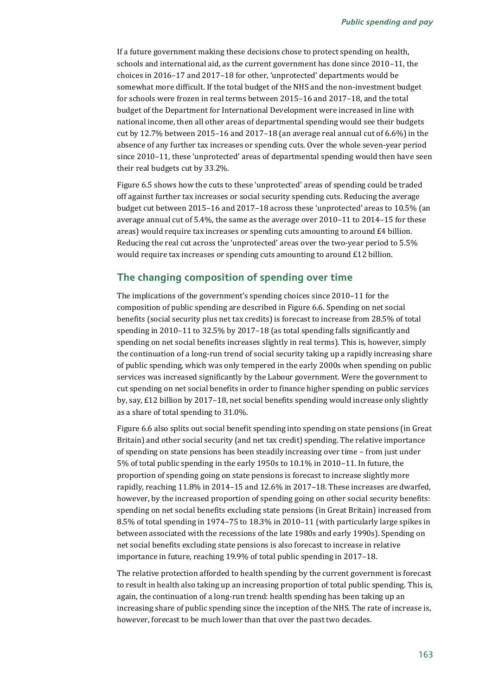If a future government making these decisions chose to protect spending on health, schools and international aid, as the current government has done since 2010–11, the choices in 2016–17 and 2017–18 for other, 'unprotected' departments would be somewhat more difficult. If the total budget of the NHS and the non-investment budget for schools were frozen in real terms between 2015–16 and 2017–18, and the total budget of the Department for International Development were increased in line with national income, then all other areas of departmental spending would see their budgets cut by 12.7% between 2015–16 and 2017–18 (an average real annual cut of 6.6%) in the absence of any further tax increases or spending cuts. Over the whole seven-year period since 2010–11, these 'unprotected' areas of departmental spending would then have seen their real budgets cut by 33.2%.

Figure 6.5 shows how the cuts to these 'unprotected' areas of spending could be traded off against further tax increases or social security spending cuts. Reducing the average budget cut between 2015–16 and 2017–18 across these 'unprotected' areas to 10.5% (an average annual cut of 5.4%, the same as the average over 2010–11 to 2014–15 for these areas) would require tax increases or spending cuts amounting to around £4 billion. Reducing the real cut across the 'unprotected' areas over the two-year period to 5.5% would require tax increases or spending cuts amounting to around £12 billion.

#### **The changing composition of spending over time**

The implications of the government's spending choices since 2010–11 for the composition of public spending are described in Figure 6.6. Spending on net social benefits (social security plus net tax credits) is forecast to increase from 28.5% of total spending in 2010–11 to 32.5% by 2017–18 (as total spending falls significantly and spending on net social benefits increases slightly in real terms). This is, however, simply the continuation of a long-run trend of social security taking up a rapidly increasing share of public spending, which was only tempered in the early 2000s when spending on public services was increased significantly by the Labour government. Were the government to cut spending on net social benefits in order to finance higher spending on public services by, say, £12 billion by 2017–18, net social benefits spending would increase only slightly as a share of total spending to 31.0%.

Figure 6.6 also splits out social benefit spending into spending on state pensions (in Great Britain) and other social security (and net tax credit) spending. The relative importance of spending on state pensions has been steadily increasing over time – from just under 5% of total public spending in the early 1950s to 10.1% in 2010–11. In future, the proportion of spending going on state pensions is forecast to increase slightly more rapidly, reaching 11.8% in 2014–15 and 12.6% in 2017–18. These increases are dwarfed, however, by the increased proportion of spending going on other social security benefits: spending on net social benefits excluding state pensions (in Great Britain) increased from 8.5% of total spending in 1974–75 to 18.3% in 2010–11 (with particularly large spikes in between associated with the recessions of the late 1980s and early 1990s). Spending on net social benefits excluding state pensions is also forecast to increase in relative importance in future, reaching 19.9% of total public spending in 2017–18.

The relative protection afforded to health spending by the current government is forecast to result in health also taking up an increasing proportion of total public spending. This is, again, the continuation of a long-run trend: health spending has been taking up an increasing share of public spending since the inception of the NHS. The rate of increase is, however, forecast to be much lower than that over the past two decades.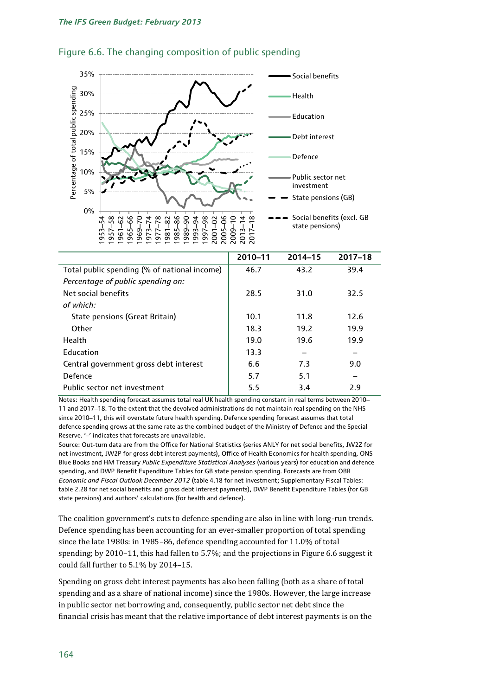

#### Figure 6.6. The changing composition of public spending

|                                              | 2010-11 | 2014-15 | $2017 - 18$ |
|----------------------------------------------|---------|---------|-------------|
| Total public spending (% of national income) | 46.7    | 43.2    | 39.4        |
| Percentage of public spending on:            |         |         |             |
| Net social benefits                          | 28.5    | 31.0    | 32.5        |
| of which:                                    |         |         |             |
| State pensions (Great Britain)               | 10.1    | 11.8    | 12.6        |
| Other                                        | 18.3    | 19.2    | 19.9        |
| Health                                       | 19.0    | 19.6    | 19.9        |
| <b>Education</b>                             | 13.3    |         |             |
| Central government gross debt interest       | 6.6     | 7.3     | 9.0         |
| Defence                                      | 5.7     | 5.1     |             |
| Public sector net investment                 | 5.5     | 3.4     | 2.9         |

Notes: Health spending forecast assumes total real UK health spending constant in real terms between 2010– 11 and 2017–18. To the extent that the devolved administrations do not maintain real spending on the NHS since 2010–11, this will overstate future health spending. Defence spending forecast assumes that total defence spending grows at the same rate as the combined budget of the Ministry of Defence and the Special Reserve. '–' indicates that forecasts are unavailable.

Source: Out-turn data are from the Office for National Statistics (series ANLY for net social benefits, JW2Z for net investment, JW2P for gross debt interest payments), Office of Health Economics for health spending, ONS Blue Books and HM Treasury *Public Expenditure Statistical Analyses* (various years) for education and defence spending, and DWP Benefit Expenditure Tables for GB state pension spending. Forecasts are from OBR *Economic and Fiscal Outlook December 2012* (table 4.18 for net investment; Supplementary Fiscal Tables: table 2.28 for net social benefits and gross debt interest payments), DWP Benefit Expenditure Tables (for GB state pensions) and authors' calculations (for health and defence).

The coalition government's cuts to defence spending are also in line with long-run trends. Defence spending has been accounting for an ever-smaller proportion of total spending since the late 1980s: in 1985–86, defence spending accounted for 11.0% of total spending; by 2010–11, this had fallen to 5.7%; and the projections in Figure 6.6 suggest it could fall further to 5.1% by 2014–15.

Spending on gross debt interest payments has also been falling (both as a share of total spending and as a share of national income) since the 1980s. However, the large increase in public sector net borrowing and, consequently, public sector net debt since the financial crisis has meant that the relative importance of debt interest payments is on the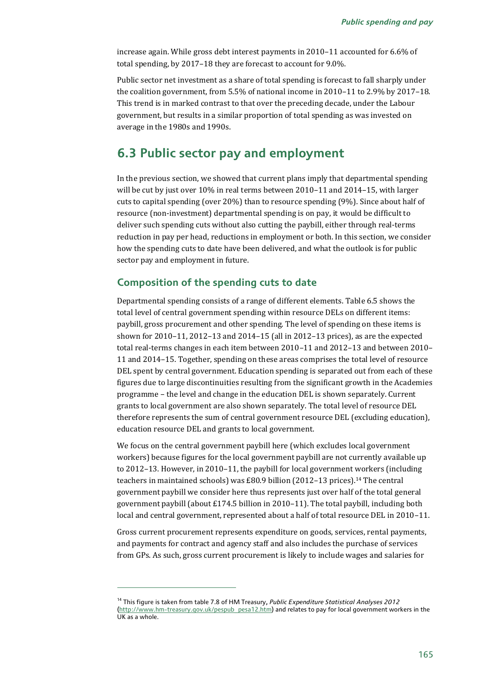increase again. While gross debt interest payments in 2010–11 accounted for 6.6% of total spending, by 2017–18 they are forecast to account for 9.0%.

Public sector net investment as a share of total spending is forecast to fall sharply under the coalition government, from 5.5% of national income in 2010–11 to 2.9% by 2017–18. This trend is in marked contrast to that over the preceding decade, under the Labour government, but results in a similar proportion of total spending as was invested on average in the 1980s and 1990s.

# **6.3 Public sector pay and employment**

In the previous section, we showed that current plans imply that departmental spending will be cut by just over 10% in real terms between 2010–11 and 2014–15, with larger cuts to capital spending (over 20%) than to resource spending (9%). Since about half of resource (non-investment) departmental spending is on pay, it would be difficult to deliver such spending cuts without also cutting the paybill, either through real-terms reduction in pay per head, reductions in employment or both. In this section, we consider how the spending cuts to date have been delivered, and what the outlook is for public sector pay and employment in future.

#### **Composition of the spending cuts to date**

1

Departmental spending consists of a range of different elements. Table 6.5 shows the total level of central government spending within resource DELs on different items: paybill, gross procurement and other spending. The level of spending on these items is shown for 2010–11, 2012–13 and 2014–15 (all in 2012–13 prices), as are the expected total real-terms changes in each item between 2010–11 and 2012–13 and between 2010– 11 and 2014–15. Together, spending on these areas comprises the total level of resource DEL spent by central government. Education spending is separated out from each of these figures due to large discontinuities resulting from the significant growth in the Academies programme – the level and change in the education DEL is shown separately. Current grants to local government are also shown separately. The total level of resource DEL therefore represents the sum of central government resource DEL (excluding education), education resource DEL and grants to local government.

We focus on the central government paybill here (which excludes local government workers) because figures for the local government paybill are not currently available up to 2012–13. However, in 2010–11, the paybill for local government workers (including teachers in maintained schools) was £80.9 billion (2012-13 prices).<sup>14</sup> The central government paybill we consider here thus represents just over half of the total general government paybill (about £174.5 billion in 2010–11). The total paybill, including both local and central government, represented about a half of total resource DEL in 2010–11.

Gross current procurement represents expenditure on goods, services, rental payments, and payments for contract and agency staff and also includes the purchase of services from GPs. As such, gross current procurement is likely to include wages and salaries for

<sup>14</sup> This figure is taken from table 7.8 of HM Treasury, *Public Expenditure Statistical Analyses 2012* [\(http://www.hm-treasury.gov.uk/pespub\\_pesa12.htm\)](http://www.hm-treasury.gov.uk/pespub_pesa12.htm) and relates to pay for local government workers in the UK as a whole.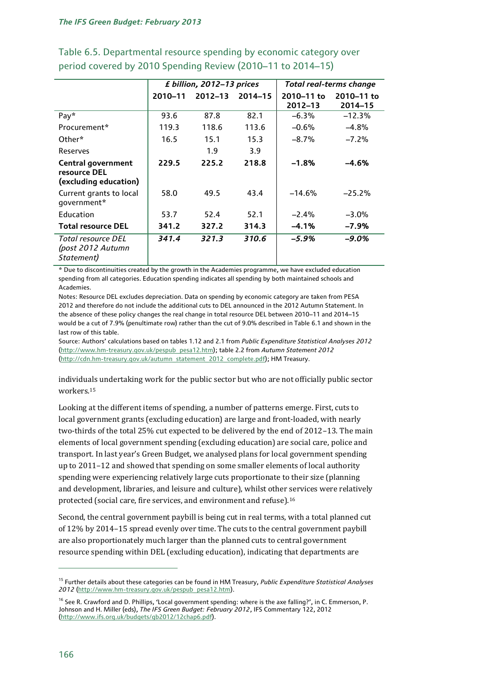|                                                                    |         | £ billion, 2012-13 prices |                  | <b>Total real-terms change</b> |                       |  |
|--------------------------------------------------------------------|---------|---------------------------|------------------|--------------------------------|-----------------------|--|
|                                                                    | 2010-11 | $2012 - 13$               | $2014 - 15$      | 2010-11 to<br>$2012 - 13$      | 2010-11 to<br>2014-15 |  |
| Pay*                                                               | 93.6    | 87.8                      | 82.1             | $-6.3\%$                       | $-12.3%$              |  |
| Procurement*                                                       | 119.3   | 118.6                     | 113.6            | $-0.6%$                        | $-4.8\%$              |  |
| Other*                                                             | 16.5    | 15.1                      | 15.3             | $-8.7\%$                       | $-7.2%$               |  |
| Reserves                                                           |         | 1.9                       | 3.9 <sup>2</sup> |                                |                       |  |
| <b>Central government</b><br>resource DEL<br>(excluding education) | 229.5   | 225.2                     | 218.8            | $-1.8%$                        | -4.6%                 |  |
| Current grants to local<br>qovernment*                             | 58.0    | 49.5                      | 43.4             | $-14.6%$                       | $-25.2%$              |  |
| Education                                                          | 53.7    | 52.4                      | 52.1             | $-2.4%$                        | $-3.0\%$              |  |
| <b>Total resource DEL</b>                                          | 341.2   | 327.2                     | 314.3            | $-4.1%$                        | $-7.9%$               |  |
| Total resource DEL<br>(post 2012 Autumn<br>Statement)              | 341.4   | 321.3                     | 310.6            | -5.9%                          | $-9.0\%$              |  |

# Table 6.5. Departmental resource spending by economic category over period covered by 2010 Spending Review (2010–11 to 2014–15)

\* Due to discontinuities created by the growth in the Academies programme, we have excluded education spending from all categories. Education spending indicates all spending by both maintained schools and Academies.

Notes: Resource DEL excludes depreciation. Data on spending by economic category are taken from PESA 2012 and therefore do not include the additional cuts to DEL announced in the 2012 Autumn Statement. In the absence of these policy changes the real change in total resource DEL between 2010–11 and 2014–15 would be a cut of 7.9% (penultimate row) rather than the cut of 9.0% described in Table 6.1 and shown in the last row of this table.

Source: Authors' calculations based on tables 1.12 and 2.1 from *Public Expenditure Statistical Analyses 2012* [\(http://www.hm-treasury.gov.uk/pespub\\_pesa12.htm\)](http://www.hm-treasury.gov.uk/pespub_pesa12.htm); table 2.2 from *Autumn Statement 2012* [\(http://cdn.hm-treasury.gov.uk/autumn\\_statement\\_2012\\_complete.pdf\)](http://cdn.hm-treasury.gov.uk/autumn_statement_2012_complete.pdf); HM Treasury.

individuals undertaking work for the public sector but who are not officially public sector workers.<sup>15</sup>

Looking at the different items of spending, a number of patterns emerge. First, cuts to local government grants (excluding education) are large and front-loaded, with nearly two-thirds of the total 25% cut expected to be delivered by the end of 2012–13. The main elements of local government spending (excluding education) are social care, police and transport. In last year's Green Budget, we analysed plans for local government spending up to 2011–12 and showed that spending on some smaller elements of local authority spending were experiencing relatively large cuts proportionate to their size (planning and development, libraries, and leisure and culture), whilst other services were relatively protected (social care, fire services, and environment and refuse).<sup>16</sup>

Second, the central government paybill is being cut in real terms, with a total planned cut of 12% by 2014–15 spread evenly over time. The cuts to the central government paybill are also proportionately much larger than the planned cuts to central government resource spending within DEL (excluding education), indicating that departments are

<sup>15</sup> Further details about these categories can be found in HM Treasury, *Public Expenditure Statistical Analyses 2012* [\(http://www.hm-treasury.gov.uk/pespub\\_pesa12.htm\)](http://www.hm-treasury.gov.uk/pespub_pesa12.htm).

<sup>&</sup>lt;sup>16</sup> See R. Crawford and D. Phillips, 'Local government spending: where is the axe falling?', in C. Emmerson, P. Johnson and H. Miller (eds), *The IFS Green Budget: February 2012*, IFS Commentary 122, 2012 [\(http://www.ifs.org.uk/budgets/gb2012/12chap6.pdf\)](http://www.ifs.org.uk/budgets/gb2012/12chap6.pdf).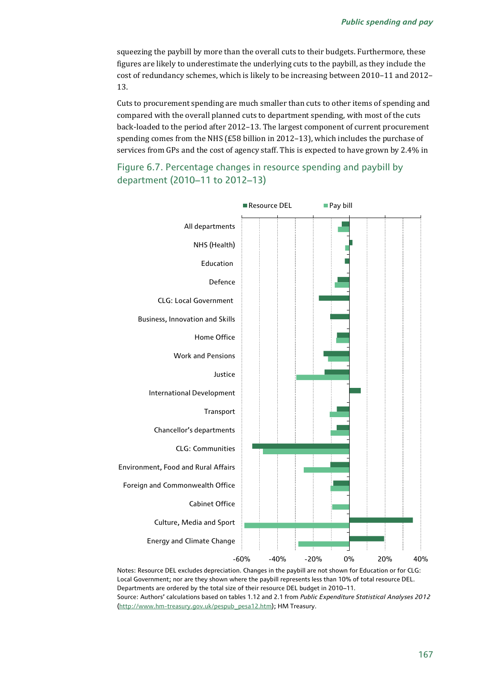squeezing the paybill by more than the overall cuts to their budgets. Furthermore, these figures are likely to underestimate the underlying cuts to the paybill, as they include the cost of redundancy schemes, which is likely to be increasing between 2010–11 and 2012– 13.

Cuts to procurement spending are much smaller than cuts to other items of spending and compared with the overall planned cuts to department spending, with most of the cuts back-loaded to the period after 2012–13. The largest component of current procurement spending comes from the NHS (£58 billion in 2012–13), which includes the purchase of services from GPs and the cost of agency staff. This is expected to have grown by 2.4% in





Notes: Resource DEL excludes depreciation. Changes in the paybill are not shown for Education or for CLG: Local Government; nor are they shown where the paybill represents less than 10% of total resource DEL. Departments are ordered by the total size of their resource DEL budget in 2010–11. Source: Authors' calculations based on tables 1.12 and 2.1 from *Public Expenditure Statistical Analyses 2012* [\(http://www.hm-treasury.gov.uk/pespub\\_pesa12.htm\)](http://www.hm-treasury.gov.uk/pespub_pesa12.htm); HM Treasury.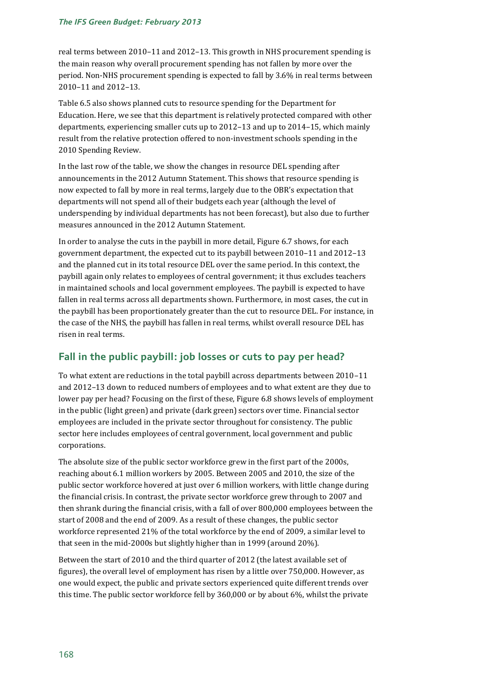real terms between 2010–11 and 2012–13. This growth in NHS procurement spending is the main reason why overall procurement spending has not fallen by more over the period. Non-NHS procurement spending is expected to fall by 3.6% in real terms between 2010–11 and 2012–13.

Table 6.5 also shows planned cuts to resource spending for the Department for Education. Here, we see that this department is relatively protected compared with other departments, experiencing smaller cuts up to 2012–13 and up to 2014–15, which mainly result from the relative protection offered to non-investment schools spending in the 2010 Spending Review.

In the last row of the table, we show the changes in resource DEL spending after announcements in the 2012 Autumn Statement. This shows that resource spending is now expected to fall by more in real terms, largely due to the OBR's expectation that departments will not spend all of their budgets each year (although the level of underspending by individual departments has not been forecast), but also due to further measures announced in the 2012 Autumn Statement.

In order to analyse the cuts in the paybill in more detail, Figure 6.7 shows, for each government department, the expected cut to its paybill between 2010–11 and 2012–13 and the planned cut in its total resource DEL over the same period. In this context, the paybill again only relates to employees of central government; it thus excludes teachers in maintained schools and local government employees. The paybill is expected to have fallen in real terms across all departments shown. Furthermore, in most cases, the cut in the paybill has been proportionately greater than the cut to resource DEL. For instance, in the case of the NHS, the paybill has fallen in real terms, whilst overall resource DEL has risen in real terms.

# **Fall in the public paybill: job losses or cuts to pay per head?**

To what extent are reductions in the total paybill across departments between 2010–11 and 2012–13 down to reduced numbers of employees and to what extent are they due to lower pay per head? Focusing on the first of these, Figure 6.8 shows levels of employment in the public (light green) and private (dark green) sectors over time. Financial sector employees are included in the private sector throughout for consistency. The public sector here includes employees of central government, local government and public corporations.

The absolute size of the public sector workforce grew in the first part of the 2000s, reaching about 6.1 million workers by 2005. Between 2005 and 2010, the size of the public sector workforce hovered at just over 6 million workers, with little change during the financial crisis. In contrast, the private sector workforce grew through to 2007 and then shrank during the financial crisis, with a fall of over 800,000 employees between the start of 2008 and the end of 2009. As a result of these changes, the public sector workforce represented 21% of the total workforce by the end of 2009, a similar level to that seen in the mid-2000s but slightly higher than in 1999 (around 20%).

Between the start of 2010 and the third quarter of 2012 (the latest available set of figures), the overall level of employment has risen by a little over 750,000. However, as one would expect, the public and private sectors experienced quite different trends over this time. The public sector workforce fell by 360,000 or by about 6%, whilst the private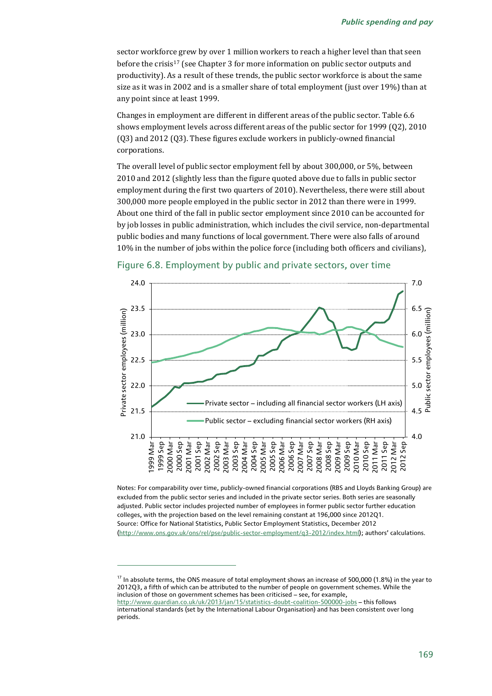sector workforce grew by over 1 million workers to reach a higher level than that seen before the crisis<sup>17</sup> (see Chapter 3 for more information on public sector outputs and productivity). As a result of these trends, the public sector workforce is about the same size as it was in 2002 and is a smaller share of total employment (just over 19%) than at any point since at least 1999.

Changes in employment are different in different areas of the public sector. Table 6.6 shows employment levels across different areas of the public sector for 1999 (Q2), 2010 (Q3) and 2012 (Q3). These figures exclude workers in publicly-owned financial corporations.

The overall level of public sector employment fell by about 300,000, or 5%, between 2010 and 2012 (slightly less than the figure quoted above due to falls in public sector employment during the first two quarters of 2010). Nevertheless, there were still about 300,000 more people employed in the public sector in 2012 than there were in 1999. About one third of the fall in public sector employment since 2010 can be accounted for by job losses in public administration, which includes the civil service, non-departmental public bodies and many functions of local government. There were also falls of around 10% in the number of jobs within the police force (including both officers and civilians),





Notes: For comparability over time, publicly-owned financial corporations (RBS and Lloyds Banking Group) are excluded from the public sector series and included in the private sector series. Both series are seasonally adjusted. Public sector includes projected number of employees in former public sector further education colleges, with the projection based on the level remaining constant at 196,000 since 2012Q1. Source: Office for National Statistics, Public Sector Employment Statistics, December 2012 [\(http://www.ons.gov.uk/ons/rel/pse/public-sector-employment/q3-2012/index.html](http://www.ons.gov.uk/ons/rel/pse/public-sector-employment/q3-2012/index.html)); authors' calculations.

 $^{17}$  In absolute terms, the ONS measure of total employment shows an increase of 500,000 (1.8%) in the year to 2012Q3, a fifth of which can be attributed to the number of people on government schemes. While the inclusion of those on government schemes has been criticised – see, for example, <http://www.guardian.co.uk/uk/2013/jan/15/statistics-doubt-coalition-500000-jobs> – this follows international standards (set by the International Labour Organisation) and has been consistent over long periods.

1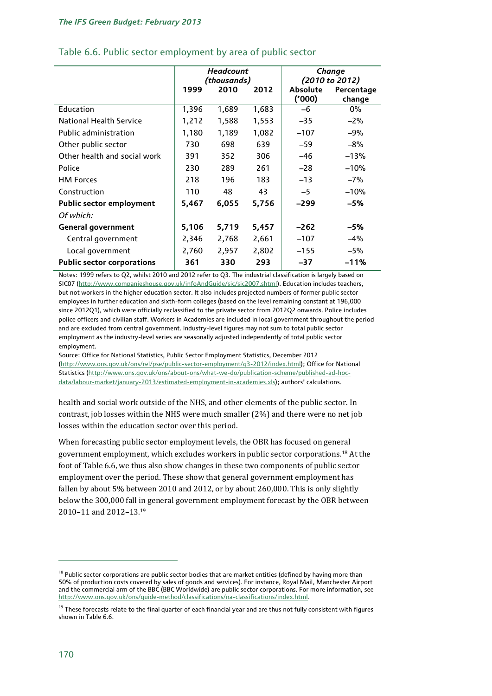|                                   | <b>Headcount</b><br>(thousands) |       |       | Change          |                |  |
|-----------------------------------|---------------------------------|-------|-------|-----------------|----------------|--|
|                                   |                                 |       |       |                 | (2010 to 2012) |  |
|                                   | 1999                            | 2010  | 2012  | <b>Absolute</b> | Percentage     |  |
|                                   |                                 |       |       | (000)'          | change         |  |
| Education                         | 1,396                           | 1,689 | 1,683 | -6              | 0%             |  |
| <b>National Health Service</b>    | 1,212                           | 1,588 | 1,553 | $-35$           | $-2\%$         |  |
| <b>Public administration</b>      | 1,180                           | 1,189 | 1,082 | $-107$          | $-9%$          |  |
| Other public sector               | 730                             | 698   | 639   | $-59$           | $-8\%$         |  |
| Other health and social work      | 391                             | 352   | 306   | -46             | $-13%$         |  |
| Police                            | 230                             | 289   | 261   | $-28$           | $-10%$         |  |
| <b>HM Forces</b>                  | 218                             | 196   | 183   | $-13$           | $-7%$          |  |
| Construction                      | 110                             | 48    | 43    | $-5$            | $-10%$         |  |
| <b>Public sector employment</b>   | 5,467                           | 6,055 | 5,756 | -299            | -5%            |  |
| Of which:                         |                                 |       |       |                 |                |  |
| <b>General government</b>         | 5,106                           | 5,719 | 5,457 | $-262$          | -5%            |  |
| Central government                | 2,346                           | 2,768 | 2,661 | $-107$          | $-4%$          |  |
| Local government                  | 2,760                           | 2,957 | 2,802 | $-155$          | $-5%$          |  |
| <b>Public sector corporations</b> | 361                             | 330   | 293   | $-37$           | $-11%$         |  |

#### Table 6.6. Public sector employment by area of public sector

Notes: 1999 refers to Q2, whilst 2010 and 2012 refer to Q3. The industrial classification is largely based on SIC07 [\(http://www.companieshouse.gov.uk/infoAndGuide/sic/sic2007.shtml\)](http://www.companieshouse.gov.uk/infoAndGuide/sic/sic2007.shtml). Education includes teachers, but not workers in the higher education sector. It also includes projected numbers of former public sector employees in further education and sixth-form colleges (based on the level remaining constant at 196,000 since 2012Q1), which were officially reclassified to the private sector from 2012Q2 onwards. Police includes police officers and civilian staff. Workers in Academies are included in local government throughout the period and are excluded from central government. Industry-level figures may not sum to total public sector employment as the industry-level series are seasonally adjusted independently of total public sector employment.

Source: Office for National Statistics, Public Sector Employment Statistics, December 2012 [\(http://www.ons.gov.uk/ons/rel/pse/public-sector-employment/q3-2012/index.html\);](http://www.ons.gov.uk/ons/rel/pse/public-sector-employment/q3-2012/index.html)) Office for National Statistics [\(http://www.ons.gov.uk/ons/about-ons/what-we-do/publication-scheme/published-ad-hoc](http://www.ons.gov.uk/ons/about-ons/what-we-do/publication-scheme/published-ad-hoc-data/labour-market/january-2013/estimated-employment-in-academies.xls)[data/labour-market/january-2013/estimated-employment-in-academies.xls\)](http://www.ons.gov.uk/ons/about-ons/what-we-do/publication-scheme/published-ad-hoc-data/labour-market/january-2013/estimated-employment-in-academies.xls); authors' calculations.

health and social work outside of the NHS, and other elements of the public sector. In contrast, job losses within the NHS were much smaller (2%) and there were no net job losses within the education sector over this period.

When forecasting public sector employment levels, the OBR has focused on general government employment, which excludes workers in public sector corporations.<sup>18</sup> At the foot of Table 6.6, we thus also show changes in these two components of public sector employment over the period. These show that general government employment has fallen by about 5% between 2010 and 2012, or by about 260,000. This is only slightly below the 300,000 fall in general government employment forecast by the OBR between 2010–11 and 2012–13.<sup>19</sup>

<sup>&</sup>lt;sup>18</sup> Public sector corporations are public sector bodies that are market entities (defined by having more than 50% of production costs covered by sales of goods and services). For instance, Royal Mail, Manchester Airport and the commercial arm of the BBC (BBC Worldwide) are public sector corporations. For more information, see [http://www.ons.gov.uk/ons/guide-method/classifications/na-classifications/index.html.](http://www.ons.gov.uk/ons/guide-method/classifications/na-classifications/index.html) 

<sup>&</sup>lt;sup>19</sup> These forecasts relate to the final quarter of each financial year and are thus not fully consistent with figures shown in Table 6.6.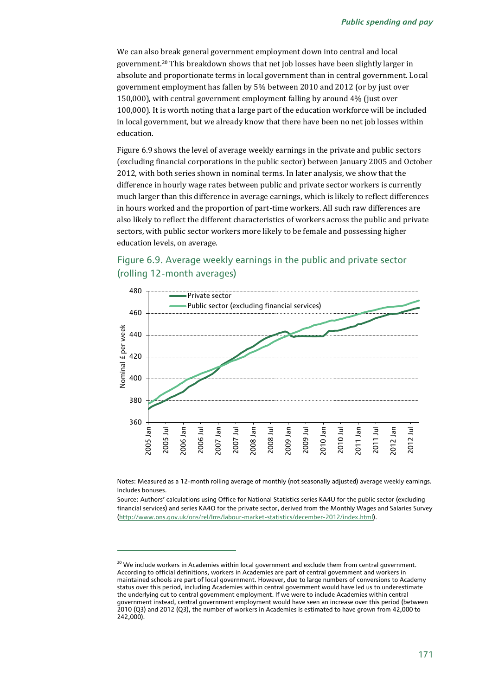We can also break general government employment down into central and local government.<sup>20</sup> This breakdown shows that net job losses have been slightly larger in absolute and proportionate terms in local government than in central government. Local government employment has fallen by 5% between 2010 and 2012 (or by just over 150,000), with central government employment falling by around 4% (just over 100,000). It is worth noting that a large part of the education workforce will be included in local government, but we already know that there have been no net job losses within education.

Figure 6.9 shows the level of average weekly earnings in the private and public sectors (excluding financial corporations in the public sector) between January 2005 and October 2012, with both series shown in nominal terms. In later analysis, we show that the difference in hourly wage rates between public and private sector workers is currently much larger than this difference in average earnings, which is likely to reflect differences in hours worked and the proportion of part-time workers. All such raw differences are also likely to reflect the different characteristics of workers across the public and private sectors, with public sector workers more likely to be female and possessing higher education levels, on average.

# Figure 6.9. Average weekly earnings in the public and private sector (rolling 12-month averages)



Notes: Measured as a 12-month rolling average of monthly (not seasonally adjusted) average weekly earnings. Includes bonuses.

Source: Authors' calculations using Office for National Statistics series KA4U for the public sector (excluding financial services) and series KA4O for the private sector, derived from the Monthly Wages and Salaries Survey [\(http://www.ons.gov.uk/ons/rel/lms/labour-market-statistics/december-2012/index.html\)](http://www.ons.gov.uk/ons/rel/lms/labour-market-statistics/december-2012/index.html).

1

<sup>&</sup>lt;sup>20</sup> We include workers in Academies within local government and exclude them from central government. According to official definitions, workers in Academies are part of central government and workers in maintained schools are part of local government. However, due to large numbers of conversions to Academy status over this period, including Academies within central government would have led us to underestimate the underlying cut to central government employment. If we were to include Academies within central government instead, central government employment would have seen an increase over this period (between 2010 (Q3) and 2012 (Q3), the number of workers in Academies is estimated to have grown from 42,000 to 242,000).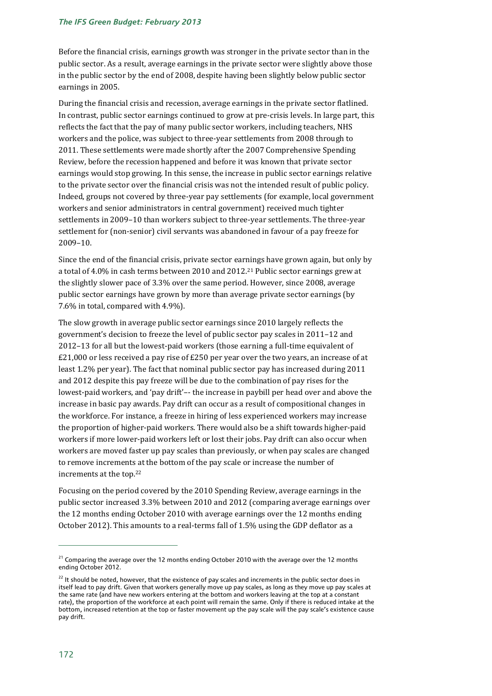#### *The IFS Green Budget: February 2013*

Before the financial crisis, earnings growth was stronger in the private sector than in the public sector. As a result, average earnings in the private sector were slightly above those in the public sector by the end of 2008, despite having been slightly below public sector earnings in 2005.

During the financial crisis and recession, average earnings in the private sector flatlined. In contrast, public sector earnings continued to grow at pre-crisis levels. In large part, this reflects the fact that the pay of many public sector workers, including teachers, NHS workers and the police, was subject to three-year settlements from 2008 through to 2011. These settlements were made shortly after the 2007 Comprehensive Spending Review, before the recession happened and before it was known that private sector earnings would stop growing. In this sense, the increase in public sector earnings relative to the private sector over the financial crisis was not the intended result of public policy. Indeed, groups not covered by three-year pay settlements (for example, local government workers and senior administrators in central government) received much tighter settlements in 2009–10 than workers subject to three-year settlements. The three-year settlement for (non-senior) civil servants was abandoned in favour of a pay freeze for 2009–10.

Since the end of the financial crisis, private sector earnings have grown again, but only by a total of 4.0% in cash terms between 2010 and 2012.<sup>21</sup> Public sector earnings grew at the slightly slower pace of 3.3% over the same period. However, since 2008, average public sector earnings have grown by more than average private sector earnings (by 7.6% in total, compared with 4.9%).

The slow growth in average public sector earnings since 2010 largely reflects the government's decision to freeze the level of public sector pay scales in 2011–12 and 2012–13 for all but the lowest-paid workers (those earning a full-time equivalent of £21,000 or less received a pay rise of £250 per year over the two years, an increase of at least 1.2% per year). The fact that nominal public sector pay has increased during 2011 and 2012 despite this pay freeze will be due to the combination of pay rises for the lowest-paid workers, and 'pay drift'–- the increase in paybill per head over and above the increase in basic pay awards. Pay drift can occur as a result of compositional changes in the workforce. For instance, a freeze in hiring of less experienced workers may increase the proportion of higher-paid workers. There would also be a shift towards higher-paid workers if more lower-paid workers left or lost their jobs. Pay drift can also occur when workers are moved faster up pay scales than previously, or when pay scales are changed to remove increments at the bottom of the pay scale or increase the number of increments at the top.<sup>22</sup>

Focusing on the period covered by the 2010 Spending Review, average earnings in the public sector increased 3.3% between 2010 and 2012 (comparing average earnings over the 12 months ending October 2010 with average earnings over the 12 months ending October 2012). This amounts to a real-terms fall of 1.5% using the GDP deflator as a

<sup>&</sup>lt;sup>21</sup> Comparing the average over the 12 months ending October 2010 with the average over the 12 months ending October 2012.

<sup>&</sup>lt;sup>22</sup> It should be noted, however, that the existence of pay scales and increments in the public sector does in itself lead to pay drift. Given that workers generally move up pay scales, as long as they move up pay scales at the same rate (and have new workers entering at the bottom and workers leaving at the top at a constant rate), the proportion of the workforce at each point will remain the same. Only if there is reduced intake at the bottom, increased retention at the top or faster movement up the pay scale will the pay scale's existence cause pay drift.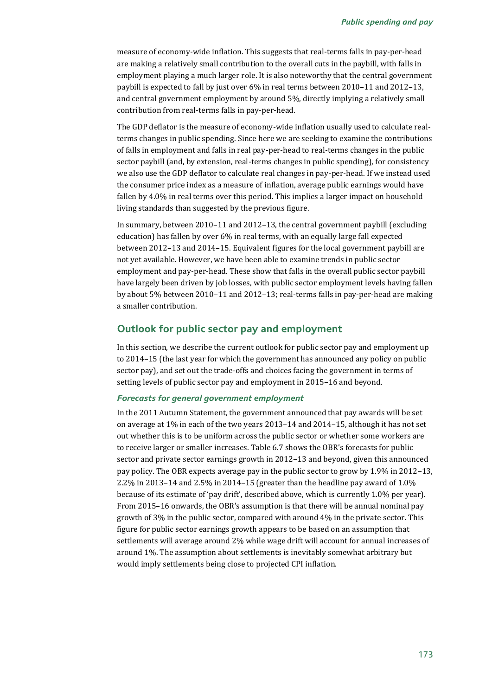measure of economy-wide inflation. This suggests that real-terms falls in pay-per-head are making a relatively small contribution to the overall cuts in the paybill, with falls in employment playing a much larger role. It is also noteworthy that the central government paybill is expected to fall by just over 6% in real terms between 2010–11 and 2012–13, and central government employment by around 5%, directly implying a relatively small contribution from real-terms falls in pay-per-head.

The GDP deflator is the measure of economy-wide inflation usually used to calculate realterms changes in public spending. Since here we are seeking to examine the contributions of falls in employment and falls in real pay-per-head to real-terms changes in the public sector paybill (and, by extension, real-terms changes in public spending), for consistency we also use the GDP deflator to calculate real changes in pay-per-head. If we instead used the consumer price index as a measure of inflation, average public earnings would have fallen by 4.0% in real terms over this period. This implies a larger impact on household living standards than suggested by the previous figure.

In summary, between 2010–11 and 2012–13, the central government paybill (excluding education) has fallen by over 6% in real terms, with an equally large fall expected between 2012–13 and 2014–15. Equivalent figures for the local government paybill are not yet available. However, we have been able to examine trends in public sector employment and pay-per-head. These show that falls in the overall public sector paybill have largely been driven by job losses, with public sector employment levels having fallen by about 5% between 2010–11 and 2012–13; real-terms falls in pay-per-head are making a smaller contribution.

#### **Outlook for public sector pay and employment**

In this section, we describe the current outlook for public sector pay and employment up to 2014–15 (the last year for which the government has announced any policy on public sector pay), and set out the trade-offs and choices facing the government in terms of setting levels of public sector pay and employment in 2015–16 and beyond.

#### *Forecasts for general government employment*

In the 2011 Autumn Statement, the government announced that pay awards will be set on average at 1% in each of the two years 2013–14 and 2014–15, although it has not set out whether this is to be uniform across the public sector or whether some workers are to receive larger or smaller increases. Table 6.7 shows the OBR's forecasts for public sector and private sector earnings growth in 2012–13 and beyond, given this announced pay policy. The OBR expects average pay in the public sector to grow by 1.9% in 2012–13, 2.2% in 2013–14 and 2.5% in 2014–15 (greater than the headline pay award of 1.0% because of its estimate of 'pay drift', described above, which is currently 1.0% per year). From 2015–16 onwards, the OBR's assumption is that there will be annual nominal pay growth of 3% in the public sector, compared with around 4% in the private sector. This figure for public sector earnings growth appears to be based on an assumption that settlements will average around 2% while wage drift will account for annual increases of around 1%. The assumption about settlements is inevitably somewhat arbitrary but would imply settlements being close to projected CPI inflation.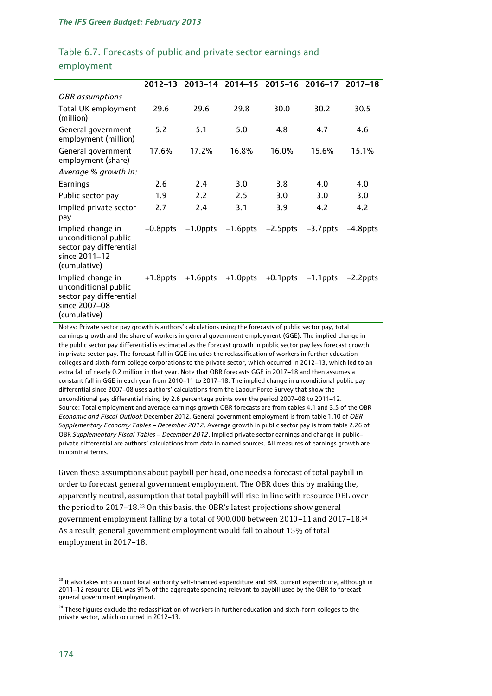# Table 6.7. Forecasts of public and private sector earnings and employment

|                                                                                                       | $2012 - 13$ | $2013 - 14$ | 2014-15     | 2015-16     | 2016-17     | $2017 - 18$ |
|-------------------------------------------------------------------------------------------------------|-------------|-------------|-------------|-------------|-------------|-------------|
| <b>OBR</b> assumptions                                                                                |             |             |             |             |             |             |
| Total UK employment<br>(million)                                                                      | 29.6        | 29.6        | 29.8        | 30.0        | 30.2        | 30.5        |
| General government<br>employment (million)                                                            | 5.2         | 5.1         | 5.0         | 4.8         | 4.7         | 4.6         |
| General government<br>employment (share)                                                              | 17.6%       | 17.2%       | 16.8%       | 16.0%       | 15.6%       | 15.1%       |
| Average % growth in:                                                                                  |             |             |             |             |             |             |
| Earnings                                                                                              | 2.6         | 2.4         | 3.0         | 3.8         | 4.0         | 4.0         |
| Public sector pay                                                                                     | 1.9         | 2.2         | 2.5         | 3.0         | 3.0         | 3.0         |
| Implied private sector<br>pay                                                                         | 2.7         | 2.4         | 3.1         | 3.9         | 4.2         | 4.2         |
| Implied change in<br>unconditional public<br>sector pay differential<br>since 2011-12<br>(cumulative) | $-0.8$ ppts | $-1.0$ ppts | $-1.6$ ppts | $-2.5$ ppts | $-3.7$ ppts | -4.8ppts    |
| Implied change in<br>unconditional public<br>sector pay differential<br>since 2007-08<br>(cumulative) | +1.8ppts    | $+1.6$ ppts | $+1.0$ ppts | $+0.1$ ppts | $-1.1$ ppts | $-2.2$ ppts |

Notes: Private sector pay growth is authors' calculations using the forecasts of public sector pay, total earnings growth and the share of workers in general government employment (GGE). The implied change in the public sector pay differential is estimated as the forecast growth in public sector pay less forecast growth in private sector pay. The forecast fall in GGE includes the reclassification of workers in further education colleges and sixth-form college corporations to the private sector, which occurred in 2012–13, which led to an extra fall of nearly 0.2 million in that year. Note that OBR forecasts GGE in 2017–18 and then assumes a constant fall in GGE in each year from 2010–11 to 2017–18. The implied change in unconditional public pay differential since 2007–08 uses authors' calculations from the Labour Force Survey that show the unconditional pay differential rising by 2.6 percentage points over the period 2007–08 to 2011–12. Source: Total employment and average earnings growth OBR forecasts are from tables 4.1 and 3.5 of the OBR *Economic and Fiscal Outlook* December 2012. General government employment is from table 1.10 of *OBR Supplementary Economy Tables – December 2012*. Average growth in public sector pay is from table 2.26 of OBR *Supplementary Fiscal Tables – December 2012*. Implied private sector earnings and change in public– private differential are authors' calculations from data in named sources. All measures of earnings growth are in nominal terms.

Given these assumptions about paybill per head, one needs a forecast of total paybill in order to forecast general government employment. The OBR does this by making the, apparently neutral, assumption that total paybill will rise in line with resource DEL over the period to 2017–18.<sup>23</sup> On this basis, the OBR's latest projections show general government employment falling by a total of 900,000 between 2010–11 and 2017–18.<sup>24</sup> As a result, general government employment would fall to about 15% of total employment in 2017–18.

<sup>&</sup>lt;sup>23</sup> It also takes into account local authority self-financed expenditure and BBC current expenditure, although in 2011–12 resource DEL was 91% of the aggregate spending relevant to paybill used by the OBR to forecast general government employment.

<sup>&</sup>lt;sup>24</sup> These figures exclude the reclassification of workers in further education and sixth-form colleges to the private sector, which occurred in 2012–13.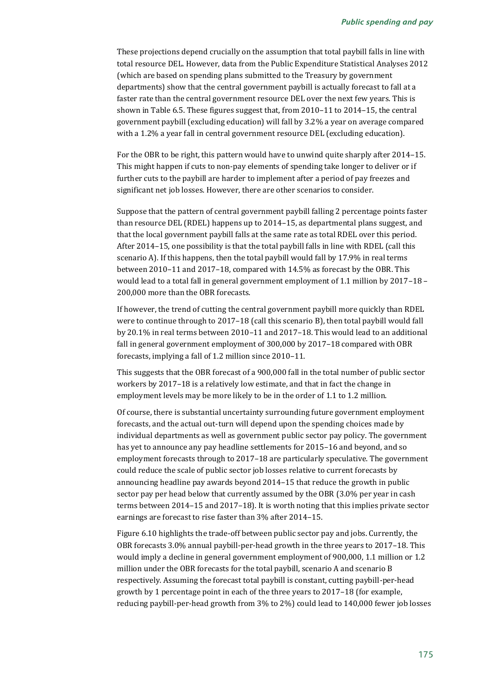These projections depend crucially on the assumption that total paybill falls in line with total resource DEL. However, data from the Public Expenditure Statistical Analyses 2012 (which are based on spending plans submitted to the Treasury by government departments) show that the central government paybill is actually forecast to fall at a faster rate than the central government resource DEL over the next few years. This is shown in Table 6.5. These figures suggest that, from 2010–11 to 2014–15, the central government paybill (excluding education) will fall by 3.2% a year on average compared with a 1.2% a year fall in central government resource DEL (excluding education).

For the OBR to be right, this pattern would have to unwind quite sharply after 2014–15. This might happen if cuts to non-pay elements of spending take longer to deliver or if further cuts to the paybill are harder to implement after a period of pay freezes and significant net job losses. However, there are other scenarios to consider.

Suppose that the pattern of central government paybill falling 2 percentage points faster than resource DEL (RDEL) happens up to 2014–15, as departmental plans suggest, and that the local government paybill falls at the same rate as total RDEL over this period. After 2014–15, one possibility is that the total paybill falls in line with RDEL (call this scenario A). If this happens, then the total paybill would fall by 17.9% in real terms between 2010–11 and 2017–18, compared with 14.5% as forecast by the OBR. This would lead to a total fall in general government employment of 1.1 million by 2017–18 – 200,000 more than the OBR forecasts.

If however, the trend of cutting the central government paybill more quickly than RDEL were to continue through to 2017–18 (call this scenario B), then total paybill would fall by 20.1% in real terms between 2010–11 and 2017–18. This would lead to an additional fall in general government employment of 300,000 by 2017–18 compared with OBR forecasts, implying a fall of 1.2 million since 2010–11.

This suggests that the OBR forecast of a 900,000 fall in the total number of public sector workers by 2017–18 is a relatively low estimate, and that in fact the change in employment levels may be more likely to be in the order of 1.1 to 1.2 million.

Of course, there is substantial uncertainty surrounding future government employment forecasts, and the actual out-turn will depend upon the spending choices made by individual departments as well as government public sector pay policy. The government has yet to announce any pay headline settlements for 2015–16 and beyond, and so employment forecasts through to 2017–18 are particularly speculative. The government could reduce the scale of public sector job losses relative to current forecasts by announcing headline pay awards beyond 2014–15 that reduce the growth in public sector pay per head below that currently assumed by the OBR (3.0% per year in cash terms between 2014–15 and 2017–18). It is worth noting that this implies private sector earnings are forecast to rise faster than 3% after 2014–15.

Figure 6.10 highlights the trade-off between public sector pay and jobs. Currently, the OBR forecasts 3.0% annual paybill-per-head growth in the three years to 2017–18. This would imply a decline in general government employment of 900,000, 1.1 million or 1.2 million under the OBR forecasts for the total paybill, scenario A and scenario B respectively. Assuming the forecast total paybill is constant, cutting paybill-per-head growth by 1 percentage point in each of the three years to 2017–18 (for example, reducing paybill-per-head growth from 3% to 2%) could lead to 140,000 fewer job losses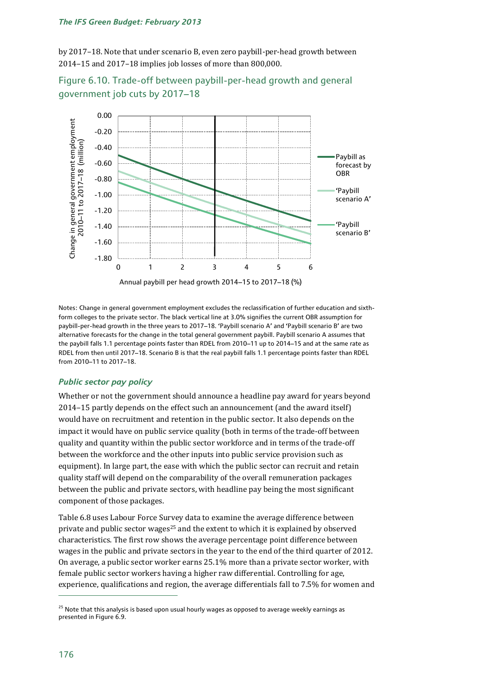by 2017–18. Note that under scenario B, even zero paybill-per-head growth between 2014–15 and 2017–18 implies job losses of more than 800,000.





Notes: Change in general government employment excludes the reclassification of further education and sixthform colleges to the private sector. The black vertical line at 3.0% signifies the current OBR assumption for paybill-per-head growth in the three years to 2017–18. 'Paybill scenario A' and 'Paybill scenario B' are two alternative forecasts for the change in the total general government paybill. Paybill scenario A assumes that the paybill falls 1.1 percentage points faster than RDEL from 2010–11 up to 2014–15 and at the same rate as RDEL from then until 2017–18. Scenario B is that the real paybill falls 1.1 percentage points faster than RDEL from 2010–11 to 2017–18.

#### *Public sector pay policy*

Whether or not the government should announce a headline pay award for years beyond 2014–15 partly depends on the effect such an announcement (and the award itself) would have on recruitment and retention in the public sector. It also depends on the impact it would have on public service quality (both in terms of the trade-off between quality and quantity within the public sector workforce and in terms of the trade-off between the workforce and the other inputs into public service provision such as equipment). In large part, the ease with which the public sector can recruit and retain quality staff will depend on the comparability of the overall remuneration packages between the public and private sectors, with headline pay being the most significant component of those packages.

Table 6.8 uses Labour Force Survey data to examine the average difference between private and public sector wages<sup>25</sup> and the extent to which it is explained by observed characteristics. The first row shows the average percentage point difference between wages in the public and private sectors in the year to the end of the third quarter of 2012. On average, a public sector worker earns 25.1% more than a private sector worker, with female public sector workers having a higher raw differential. Controlling for age, experience, qualifications and region, the average differentials fall to 7.5% for women and

 $\overline{a}$ 

<sup>&</sup>lt;sup>25</sup> Note that this analysis is based upon usual hourly wages as opposed to average weekly earnings as presented in Figure 6.9.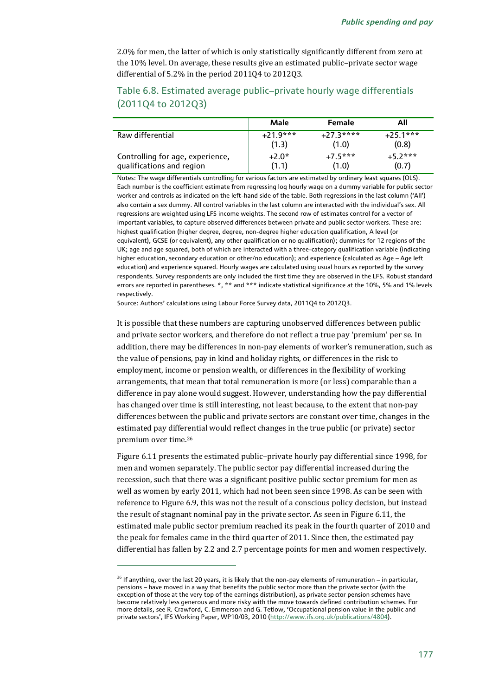2.0% for men, the latter of which is only statistically significantly different from zero at the 10% level. On average, these results give an estimated public–private sector wage differential of 5.2% in the period 2011Q4 to 2012Q3.

# Table 6.8. Estimated average public–private hourly wage differentials (2011Q4 to 2012Q3)

|                                                               | Male                | <b>Female</b>       | All                 |  |
|---------------------------------------------------------------|---------------------|---------------------|---------------------|--|
| Raw differential                                              | $+21.9***$<br>(1.3) | $+27.3***$<br>(1.0) | $+25.1***$<br>(0.8) |  |
| Controlling for age, experience,<br>qualifications and region | $+2.0*$<br>(1.1)    | $+75***$<br>(1.0)   | $+52***$<br>(0.7)   |  |

Notes: The wage differentials controlling for various factors are estimated by ordinary least squares (OLS). Each number is the coefficient estimate from regressing log hourly wage on a dummy variable for public sector worker and controls as indicated on the left-hand side of the table. Both regressions in the last column ('All') also contain a sex dummy. All control variables in the last column are interacted with the individual's sex. All regressions are weighted using LFS income weights. The second row of estimates control for a vector of important variables, to capture observed differences between private and public sector workers. These are: highest qualification (higher degree, degree, non-degree higher education qualification, A level (or equivalent), GCSE (or equivalent), any other qualification or no qualification); dummies for 12 regions of the UK; age and age squared, both of which are interacted with a three-category qualification variable (indicating higher education, secondary education or other/no education); and experience (calculated as Age – Age left education) and experience squared. Hourly wages are calculated using usual hours as reported by the survey respondents. Survey respondents are only included the first time they are observed in the LFS. Robust standard errors are reported in parentheses. \*, \*\* and \*\*\* indicate statistical significance at the 10%, 5% and 1% levels respectively.

Source: Authors' calculations using Labour Force Survey data, 2011Q4 to 2012Q3.

It is possible that these numbers are capturing unobserved differences between public and private sector workers, and therefore do not reflect a true pay 'premium' per se. In addition, there may be differences in non-pay elements of worker's remuneration, such as the value of pensions, pay in kind and holiday rights, or differences in the risk to employment, income or pension wealth, or differences in the flexibility of working arrangements, that mean that total remuneration is more (or less) comparable than a difference in pay alone would suggest. However, understanding how the pay differential has changed over time is still interesting, not least because, to the extent that non-pay differences between the public and private sectors are constant over time, changes in the estimated pay differential would reflect changes in the true public (or private) sector premium over time.<sup>26</sup>

Figure 6.11 presents the estimated public–private hourly pay differential since 1998, for men and women separately. The public sector pay differential increased during the recession, such that there was a significant positive public sector premium for men as well as women by early 2011, which had not been seen since 1998. As can be seen with reference to Figure 6.9, this was not the result of a conscious policy decision, but instead the result of stagnant nominal pay in the private sector. As seen in Figure 6.11, the estimated male public sector premium reached its peak in the fourth quarter of 2010 and the peak for females came in the third quarter of 2011. Since then, the estimated pay differential has fallen by 2.2 and 2.7 percentage points for men and women respectively.

1

<sup>&</sup>lt;sup>26</sup> If anything, over the last 20 years, it is likely that the non-pay elements of remuneration – in particular, pensions – have moved in a way that benefits the public sector more than the private sector (with the exception of those at the very top of the earnings distribution), as private sector pension schemes have become relatively less generous and more risky with the move towards defined contribution schemes. For more details, see R. Crawford, C. Emmerson and G. Tetlow, 'Occupational pension value in the public and private sectors', IFS Working Paper, WP10/03, 2010 ([http://www.ifs.org.uk/publications/4804\).](http://www.ifs.org.uk/publications/4804)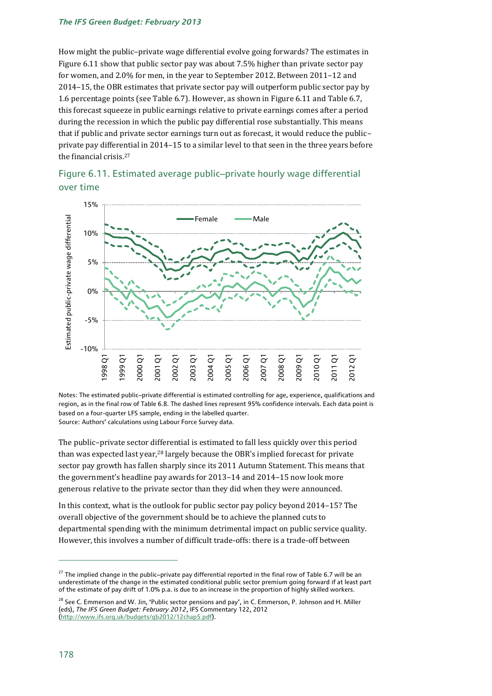#### *The IFS Green Budget: February 2013*

How might the public–private wage differential evolve going forwards? The estimates in Figure 6.11 show that public sector pay was about 7.5% higher than private sector pay for women, and 2.0% for men, in the year to September 2012. Between 2011–12 and 2014–15, the OBR estimates that private sector pay will outperform public sector pay by 1.6 percentage points (see Table 6.7). However, as shown in Figure 6.11 and Table 6.7, this forecast squeeze in public earnings relative to private earnings comes after a period during the recession in which the public pay differential rose substantially. This means that if public and private sector earnings turn out as forecast, it would reduce the public– private pay differential in 2014–15 to a similar level to that seen in the three years before the financial crisis.<sup>27</sup>





Notes: The estimated public–private differential is estimated controlling for age, experience, qualifications and region, as in the final row of Table 6.8. The dashed lines represent 95% confidence intervals. Each data point is based on a four-quarter LFS sample, ending in the labelled quarter. Source: Authors' calculations using Labour Force Survey data.

The public–private sector differential is estimated to fall less quickly over this period than was expected last year,<sup>28</sup> largely because the OBR's implied forecast for private sector pay growth has fallen sharply since its 2011 Autumn Statement. This means that the government's headline pay awards for 2013–14 and 2014–15 now look more generous relative to the private sector than they did when they were announced.

In this context, what is the outlook for public sector pay policy beyond 2014–15? The overall objective of the government should be to achieve the planned cuts to departmental spending with the minimum detrimental impact on public service quality. However, this involves a number of difficult trade-offs: there is a trade-off between

<sup>&</sup>lt;sup>27</sup> The implied change in the public–private pay differential reported in the final row of Table 6.7 will be an underestimate of the change in the estimated conditional public sector premium going forward if at least part of the estimate of pay drift of 1.0% p.a. is due to an increase in the proportion of highly skilled workers.

<sup>&</sup>lt;sup>28</sup> See C. Emmerson and W. Jin, 'Public sector pensions and pay', in C. Emmerson, P. Johnson and H. Miller (eds), *The IFS Green Budget: February 2012*, IFS Commentary 122, 2012 (http://www.ifs.org.uk/budgets/gb2012/12chap5.pdf).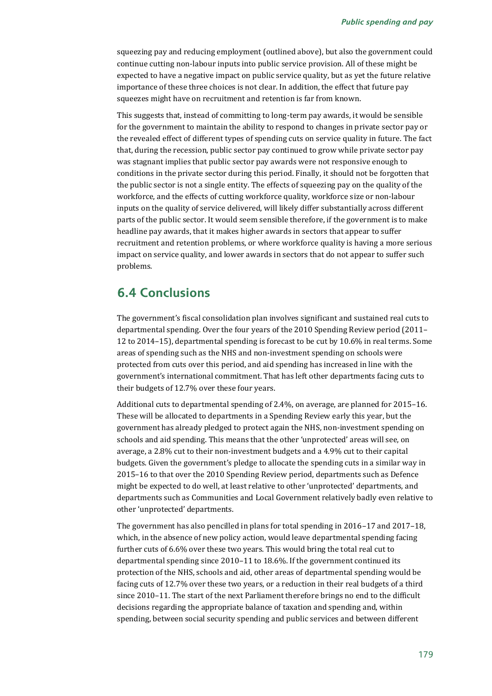squeezing pay and reducing employment (outlined above), but also the government could continue cutting non-labour inputs into public service provision. All of these might be expected to have a negative impact on public service quality, but as yet the future relative importance of these three choices is not clear. In addition, the effect that future pay squeezes might have on recruitment and retention is far from known.

This suggests that, instead of committing to long-term pay awards, it would be sensible for the government to maintain the ability to respond to changes in private sector pay or the revealed effect of different types of spending cuts on service quality in future. The fact that, during the recession, public sector pay continued to grow while private sector pay was stagnant implies that public sector pay awards were not responsive enough to conditions in the private sector during this period. Finally, it should not be forgotten that the public sector is not a single entity. The effects of squeezing pay on the quality of the workforce, and the effects of cutting workforce quality, workforce size or non-labour inputs on the quality of service delivered, will likely differ substantially across different parts of the public sector. It would seem sensible therefore, if the government is to make headline pay awards, that it makes higher awards in sectors that appear to suffer recruitment and retention problems, or where workforce quality is having a more serious impact on service quality, and lower awards in sectors that do not appear to suffer such problems.

# **6.4 Conclusions**

The government's fiscal consolidation plan involves significant and sustained real cuts to departmental spending. Over the four years of the 2010 Spending Review period (2011– 12 to 2014–15), departmental spending is forecast to be cut by 10.6% in real terms. Some areas of spending such as the NHS and non-investment spending on schools were protected from cuts over this period, and aid spending has increased in line with the government's international commitment. That has left other departments facing cuts to their budgets of 12.7% over these four years.

Additional cuts to departmental spending of 2.4%, on average, are planned for 2015–16. These will be allocated to departments in a Spending Review early this year, but the government has already pledged to protect again the NHS, non-investment spending on schools and aid spending. This means that the other 'unprotected' areas will see, on average, a 2.8% cut to their non-investment budgets and a 4.9% cut to their capital budgets. Given the government's pledge to allocate the spending cuts in a similar way in 2015–16 to that over the 2010 Spending Review period, departments such as Defence might be expected to do well, at least relative to other 'unprotected' departments, and departments such as Communities and Local Government relatively badly even relative to other 'unprotected' departments.

The government has also pencilled in plans for total spending in 2016–17 and 2017–18, which, in the absence of new policy action, would leave departmental spending facing further cuts of 6.6% over these two years. This would bring the total real cut to departmental spending since 2010–11 to 18.6%. If the government continued its protection of the NHS, schools and aid, other areas of departmental spending would be facing cuts of 12.7% over these two years, or a reduction in their real budgets of a third since 2010–11. The start of the next Parliament therefore brings no end to the difficult decisions regarding the appropriate balance of taxation and spending and, within spending, between social security spending and public services and between different